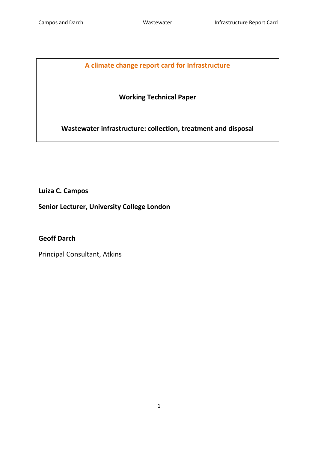# **A climate change report card for Infrastructure**

# **Working Technical Paper**

**Wastewater infrastructure: collection, treatment and disposal**

**Luiza C. Campos** 

**Senior Lecturer, University College London**

**Geoff Darch** 

<span id="page-0-0"></span>Principal Consultant, Atkins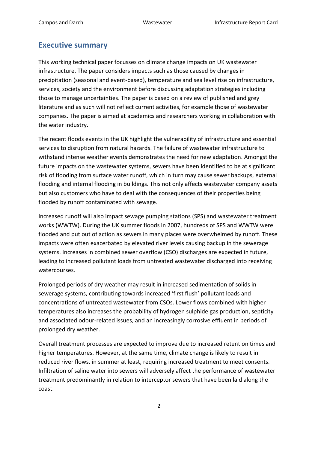## <span id="page-1-0"></span>**Executive summary**

This working technical paper focusses on climate change impacts on UK wastewater infrastructure. The paper considers impacts such as those caused by changes in precipitation (seasonal and event-based), temperature and sea level rise on infrastructure, services, society and the environment before discussing adaptation strategies including those to manage uncertainties. The paper is based on a review of published and grey literature and as such will not reflect current activities, for example those of wastewater companies. The paper is aimed at academics and researchers working in collaboration with the water industry.

The recent floods events in the UK highlight the vulnerability of infrastructure and essential services to disruption from natural hazards. The failure of wastewater infrastructure to withstand intense weather events demonstrates the need for new adaptation. Amongst the future impacts on the wastewater systems, sewers have been identified to be at significant risk of flooding from surface water runoff, which in turn may cause sewer backups, external flooding and internal flooding in buildings. This not only affects wastewater company assets but also customers who have to deal with the consequences of their properties being flooded by runoff contaminated with sewage.

Increased runoff will also impact sewage pumping stations (SPS) and wastewater treatment works (WWTW). During the UK summer floods in 2007, hundreds of SPS and WWTW were flooded and put out of action as sewers in many places were overwhelmed by runoff. These impacts were often exacerbated by elevated river levels causing backup in the sewerage systems. Increases in combined sewer overflow (CSO) discharges are expected in future, leading to increased pollutant loads from untreated wastewater discharged into receiving watercourses.

Prolonged periods of dry weather may result in increased sedimentation of solids in sewerage systems, contributing towards increased 'first flush' pollutant loads and concentrations of untreated wastewater from CSOs. Lower flows combined with higher temperatures also increases the probability of hydrogen sulphide gas production, septicity and associated odour-related issues, and an increasingly corrosive effluent in periods of prolonged dry weather.

Overall treatment processes are expected to improve due to increased retention times and higher temperatures. However, at the same time, climate change is likely to result in reduced river flows, in summer at least, requiring increased treatment to meet consents. Infiltration of saline water into sewers will adversely affect the performance of wastewater treatment predominantly in relation to interceptor sewers that have been laid along the coast.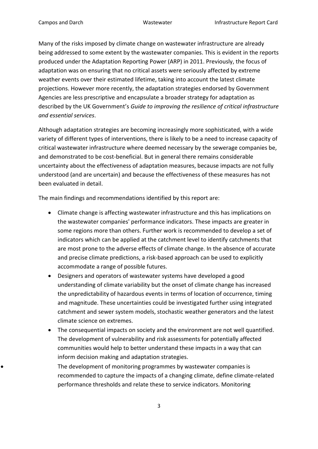Many of the risks imposed by climate change on wastewater infrastructure are already being addressed to some extent by the wastewater companies. This is evident in the reports produced under the Adaptation Reporting Power (ARP) in 2011. Previously, the focus of adaptation was on ensuring that no critical assets were seriously affected by extreme weather events over their estimated lifetime, taking into account the latest climate projections. However more recently, the adaptation strategies endorsed by Government Agencies are less prescriptive and encapsulate a broader strategy for adaptation as described by the UK Government's *Guide to improving the resilience of critical infrastructure and essential services*.

Although adaptation strategies are becoming increasingly more sophisticated, with a wide variety of different types of interventions, there is likely to be a need to increase capacity of critical wastewater infrastructure where deemed necessary by the sewerage companies be, and demonstrated to be cost-beneficial. But in general there remains considerable uncertainty about the effectiveness of adaptation measures, because impacts are not fully understood (and are uncertain) and because the effectiveness of these measures has not been evaluated in detail.

The main findings and recommendations identified by this report are:

- Climate change is affecting wastewater infrastructure and this has implications on the wastewater companies' performance indicators. These impacts are greater in some regions more than others. Further work is recommended to develop a set of indicators which can be applied at the catchment level to identify catchments that are most prone to the adverse effects of climate change. In the absence of accurate and precise climate predictions, a risk-based approach can be used to explicitly accommodate a range of possible futures.
- Designers and operators of wastewater systems have developed a good understanding of climate variability but the onset of climate change has increased the unpredictability of hazardous events in terms of location of occurrence, timing and magnitude. These uncertainties could be investigated further using integrated catchment and sewer system models, stochastic weather generators and the latest climate science on extremes.
- The consequential impacts on society and the environment are not well quantified. The development of vulnerability and risk assessments for potentially affected communities would help to better understand these impacts in a way that can inform decision making and adaptation strategies.

The development of monitoring programmes by wastewater companies is recommended to capture the impacts of a changing climate, define climate-related performance thresholds and relate these to service indicators. Monitoring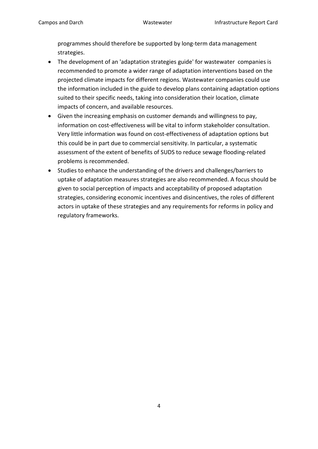programmes should therefore be supported by long-term data management strategies.

- The development of an 'adaptation strategies guide' for wastewater companies is recommended to promote a wider range of adaptation interventions based on the projected climate impacts for different regions. Wastewater companies could use the information included in the guide to develop plans containing adaptation options suited to their specific needs, taking into consideration their location, climate impacts of concern, and available resources.
- Given the increasing emphasis on customer demands and willingness to pay, information on cost-effectiveness will be vital to inform stakeholder consultation. Very little information was found on cost-effectiveness of adaptation options but this could be in part due to commercial sensitivity. In particular, a systematic assessment of the extent of benefits of SUDS to reduce sewage flooding-related problems is recommended.
- Studies to enhance the understanding of the drivers and challenges/barriers to uptake of adaptation measures strategies are also recommended. A focus should be given to social perception of impacts and acceptability of proposed adaptation strategies, considering economic incentives and disincentives, the roles of different actors in uptake of these strategies and any requirements for reforms in policy and regulatory frameworks.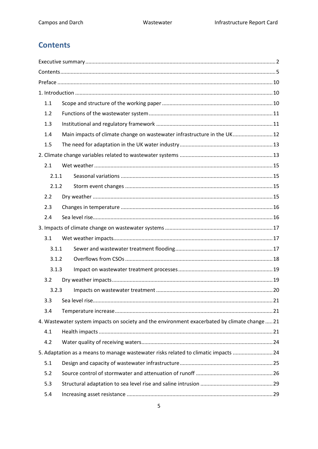# <span id="page-4-0"></span>**Contents**

| 1.1   |                                                                                               |  |
|-------|-----------------------------------------------------------------------------------------------|--|
| 1.2   |                                                                                               |  |
| 1.3   |                                                                                               |  |
| 1.4   | Main impacts of climate change on wastewater infrastructure in the UK 12                      |  |
| 1.5   |                                                                                               |  |
|       |                                                                                               |  |
| 2.1   |                                                                                               |  |
| 2.1.1 |                                                                                               |  |
| 2.1.2 |                                                                                               |  |
| 2.2   |                                                                                               |  |
| 2.3   |                                                                                               |  |
| 2.4   |                                                                                               |  |
|       |                                                                                               |  |
| 3.1   |                                                                                               |  |
| 3.1.1 |                                                                                               |  |
| 3.1.2 |                                                                                               |  |
| 3.1.3 |                                                                                               |  |
| 3.2   |                                                                                               |  |
| 3.2.3 |                                                                                               |  |
| 3.3   |                                                                                               |  |
| 3.4   |                                                                                               |  |
|       | 4. Wastewater system impacts on society and the environment exacerbated by climate change  21 |  |
| 4.1   |                                                                                               |  |
| 4.2   |                                                                                               |  |
|       | 5. Adaptation as a means to manage wastewater risks related to climatic impacts  24           |  |
| 5.1   |                                                                                               |  |
| 5.2   |                                                                                               |  |
| 5.3   |                                                                                               |  |
| 5.4   |                                                                                               |  |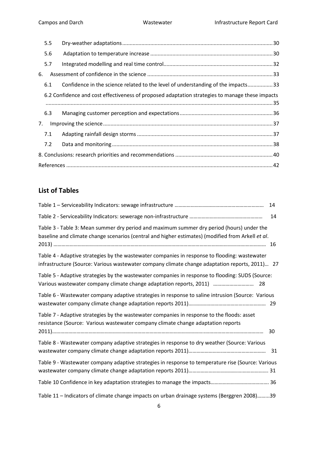|    | 5.5 |                                                                                                 |  |
|----|-----|-------------------------------------------------------------------------------------------------|--|
|    | 5.6 |                                                                                                 |  |
|    | 5.7 |                                                                                                 |  |
| 6. |     |                                                                                                 |  |
|    | 6.1 | Confidence in the science related to the level of understanding of the impacts33                |  |
|    |     | 6.2 Confidence and cost effectiveness of proposed adaptation strategies to manage these impacts |  |
|    | 6.3 |                                                                                                 |  |
| 7. |     |                                                                                                 |  |
|    | 7.1 |                                                                                                 |  |
|    | 7.2 |                                                                                                 |  |
|    |     |                                                                                                 |  |
|    |     |                                                                                                 |  |

# **List of Tables**

|                                                                                                                                                                                                 | 14  |
|-------------------------------------------------------------------------------------------------------------------------------------------------------------------------------------------------|-----|
|                                                                                                                                                                                                 | 14  |
| Table 3 - Table 3: Mean summer dry period and maximum summer dry period (hours) under the<br>baseline and climate change scenarios (central and higher estimates) (modified from Arkell et al.  |     |
| Table 4 - Adaptive strategies by the wastewater companies in response to flooding: wastewater<br>infrastructure (Source: Various wastewater company climate change adaptation reports, 2011) 27 |     |
| Table 5 - Adaptive strategies by the wastewater companies in response to flooding: SUDS (Source:<br>Various wastewater company climate change adaptation reports, 2011)  28                     |     |
| Table 6 - Wastewater company adaptive strategies in response to saline intrusion (Source: Various                                                                                               |     |
| Table 7 - Adaptive strategies by the wastewater companies in response to the floods: asset<br>resistance (Source: Various wastewater company climate change adaptation reports                  | 30  |
| Table 8 - Wastewater company adaptive strategies in response to dry weather (Source: Various                                                                                                    | -31 |
| Table 9 - Wastewater company adaptive strategies in response to temperature rise (Source: Various                                                                                               |     |
|                                                                                                                                                                                                 |     |
| Table 11 - Indicators of climate change impacts on urban drainage systems (Berggren 2008)39                                                                                                     |     |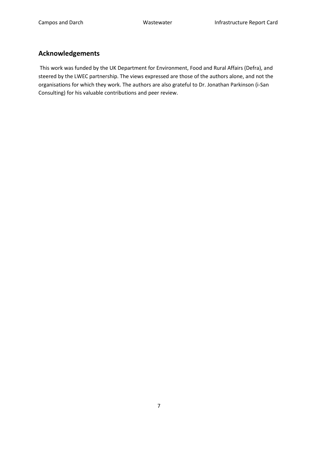# **Acknowledgements**

This work was funded by the UK Department for Environment, Food and Rural Affairs (Defra), and steered by the LWEC partnership. The views expressed are those of the authors alone, and not the organisations for which they work. The authors are also grateful to Dr. Jonathan Parkinson (i-San Consulting) for his valuable contributions and peer review.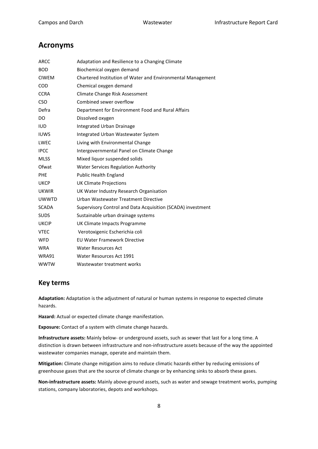### **Acronyms**

| <b>ARCC</b>  | Adaptation and Resilience to a Changing Climate             |
|--------------|-------------------------------------------------------------|
| <b>BOD</b>   | Biochemical oxygen demand                                   |
| <b>CIWEM</b> | Chartered Institution of Water and Environmental Management |
| <b>COD</b>   | Chemical oxygen demand                                      |
| <b>CCRA</b>  | Climate Change Risk Assessment                              |
| <b>CSO</b>   | Combined sewer overflow                                     |
| Defra        | Department for Environment Food and Rural Affairs           |
| DO           | Dissolved oxygen                                            |
| <b>IUD</b>   | <b>Integrated Urban Drainage</b>                            |
| <b>IUWS</b>  | Integrated Urban Wastewater System                          |
| LWEC         | Living with Environmental Change                            |
| <b>IPCC</b>  | Intergovernmental Panel on Climate Change                   |
| <b>MLSS</b>  | Mixed liquor suspended solids                               |
| Ofwat        | <b>Water Services Regulation Authority</b>                  |
| PHE          | <b>Public Health England</b>                                |
| <b>UKCP</b>  | <b>UK Climate Projections</b>                               |
| <b>UKWIR</b> | UK Water Industry Research Organisation                     |
| <b>UWWTD</b> | Urban Wastewater Treatment Directive                        |
| <b>SCADA</b> | Supervisory Control and Data Acquisition (SCADA) investment |
| <b>SUDS</b>  | Sustainable urban drainage systems                          |
| <b>UKCIP</b> | UK Climate Impacts Programme                                |
| <b>VTEC</b>  | Verotoxigenic Escherichia coli                              |
| <b>WFD</b>   | <b>EU Water Framework Directive</b>                         |
| <b>WRA</b>   | <b>Water Resources Act</b>                                  |
| <b>WRA91</b> | Water Resources Act 1991                                    |
| <b>WWTW</b>  | Wastewater treatment works                                  |

### **Key terms**

**Adaptation:** Adaptation is the adjustment of natural or human systems in response to expected climate hazards.

**Hazard:** Actual or expected climate change manifestation.

**Exposure:** Contact of a system with climate change hazards.

**Infrastructure assets:** Mainly below- or underground assets, such as sewer that last for a long time. A distinction is drawn between infrastructure and non-infrastructure assets because of the way the appointed wastewater companies manage, operate and maintain them.

**Mitigation:** Climate change mitigation aims to reduce climatic hazards either by reducing emissions of greenhouse gases that are the source of climate change or by enhancing sinks to absorb these gases.

**Non-infrastructure assets:** Mainly above-ground assets, such as water and sewage treatment works, pumping stations, company laboratories, depots and workshops.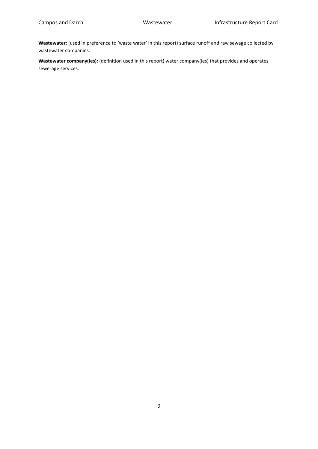**Wastewater:** (used in preference to 'waste water' in this report) surface runoff and raw sewage collected by wastewater companies.

**Wastewater company(ies):** (definition used in this report) water company(ies) that provides and operates sewerage services.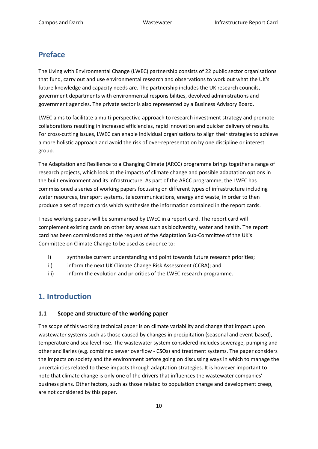# <span id="page-9-0"></span>**Preface**

The Living with Environmental Change (LWEC) partnership consists of 22 public sector organisations that fund, carry out and use environmental research and observations to work out what the UK's future knowledge and capacity needs are. The partnership includes the UK research councils, government departments with environmental responsibilities, devolved administrations and government agencies. The private sector is also represented by a Business Advisory Board.

LWEC aims to facilitate a multi-perspective approach to research investment strategy and promote collaborations resulting in increased efficiencies, rapid innovation and quicker delivery of results. For cross-cutting issues, LWEC can enable individual organisations to align their strategies to achieve a more holistic approach and avoid the risk of over-representation by one discipline or interest group.

The Adaptation and Resilience to a Changing Climate (ARCC) programme brings together a range of research projects, which look at the impacts of climate change and possible adaptation options in the built environment and its infrastructure. As part of the ARCC programme, the LWEC has commissioned a series of working papers focussing on different types of infrastructure including water resources, transport systems, telecommunications, energy and waste, in order to then produce a set of report cards which synthesise the information contained in the report cards.

These working papers will be summarised by LWEC in a report card. The report card will complement existing cards on other key areas such as biodiversity, water and health. The report card has been commissioned at the request of the Adaptation Sub-Committee of the UK's Committee on Climate Change to be used as evidence to:

- i) synthesise current understanding and point towards future research priorities;
- ii) inform the next UK Climate Change Risk Assessment (CCRA); and
- iii) iii) inform the evolution and priorities of the LWEC research programme.

# <span id="page-9-1"></span>**1. Introduction**

### <span id="page-9-2"></span>**1.1 Scope and structure of the working paper**

The scope of this working technical paper is on climate variability and change that impact upon wastewater systems such as those caused by changes in precipitation (seasonal and event-based), temperature and sea level rise. The wastewater system considered includes sewerage, pumping and other ancillaries (e.g. combined sewer overflow - CSOs) and treatment systems. The paper considers the impacts on society and the environment before going on discussing ways in which to manage the uncertainties related to these impacts through adaptation strategies. It is however important to note that climate change is only one of the drivers that influences the wastewater companies' business plans. Other factors, such as those related to population change and development creep, are not considered by this paper.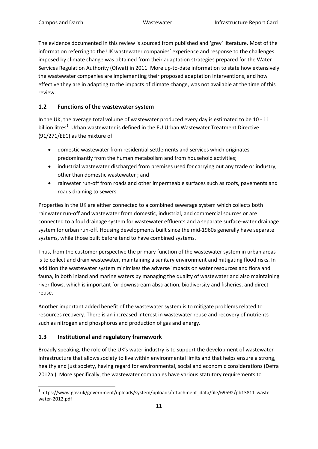The evidence documented in this review is sourced from published and 'grey' literature. Most of the information referring to the UK wastewater companies' experience and response to the challenges imposed by climate change was obtained from their adaptation strategies prepared for the Water Services Regulation Authority (Ofwat) in 2011. More up-to-date information to state how extensively the wastewater companies are implementing their proposed adaptation interventions, and how effective they are in adapting to the impacts of climate change, was not available at the time of this review.

### <span id="page-10-0"></span>**1.2 Functions of the wastewater system**

In the UK, the average total volume of wastewater produced every day is estimated to be 10 - 11 billion litres<sup>[1](#page-0-0)</sup>. Urban wastewater is defined in the EU Urban Wastewater Treatment Directive (91/271/EEC) as the mixture of:

- domestic wastewater from residential settlements and services which originates predominantly from the human metabolism and from household activities;
- industrial wastewater discharged from premises used for carrying out any trade or industry, other than domestic wastewater ; and
- rainwater run-off from roads and other impermeable surfaces such as roofs, pavements and roads draining to sewers.

Properties in the UK are either connected to a combined sewerage system which collects both rainwater run-off and wastewater from domestic, industrial, and commercial sources or are connected to a foul drainage system for wastewater effluents and a separate surface-water drainage system for urban run-off. Housing developments built since the mid-1960s generally have separate systems, while those built before tend to have combined systems.

Thus, from the customer perspective the primary function of the wastewater system in urban areas is to collect and drain wastewater, maintaining a sanitary environment and mitigating flood risks. In addition the wastewater system minimises the adverse impacts on water resources and flora and fauna, in both inland and marine waters by managing the quality of wastewater and also maintaining river flows, which is important for downstream abstraction, biodiversity and fisheries, and direct reuse.

Another important added benefit of the wastewater system is to mitigate problems related to resources recovery. There is an increased interest in wastewater reuse and recovery of nutrients such as nitrogen and phosphorus and production of gas and energy.

### <span id="page-10-1"></span>**1.3 Institutional and regulatory framework**

Broadly speaking, the role of the UK's water industry is to support the development of wastewater infrastructure that allows society to live within environmental limits and that helps ensure a strong, healthy and just society, having regard for environmental, social and economic considerations (Defra 2012a ). More specifically, the wastewater companies have various statutory requirements to

<span id="page-10-2"></span> <sup>1</sup> https://www.gov.uk/government/uploads/system/uploads/attachment\_data/file/69592/pb13811-wastewater-2012.pdf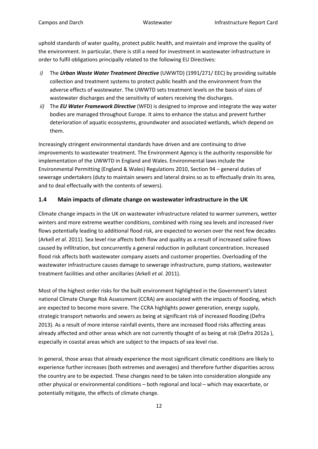uphold standards of water quality, protect public health, and maintain and improve the quality of the environment. In particular, there is still a need for investment in wastewater infrastructure in order to fulfil obligations principally related to the following EU Directives:

- *i)* The *Urban Waste Water Treatment Directive* (UWWTD) (1991/271/ EEC) by providing suitable collection and treatment systems to protect public health and the environment from the adverse effects of wastewater. The UWWTD sets treatment levels on the basis of sizes of wastewater discharges and the sensitivity of waters receiving the discharges.
- *ii)* The *EU Water Framework Directive* (WFD) is designed to improve and integrate the way water bodies are managed throughout Europe. It aims to enhance the status and prevent further deterioration of aquatic ecosystems, groundwater and associated wetlands, which depend on them.

Increasingly stringent environmental standards have driven and are continuing to drive improvements to wastewater treatment. The Environment Agency is the authority responsible for implementation of the UWWTD in England and Wales. Environmental laws include the Environmental Permitting (England & Wales) Regulations 2010, Section 94 – general duties of sewerage undertakers (duty to maintain sewers and lateral drains so as to effectually drain its area, and to deal effectually with the contents of sewers).

### <span id="page-11-0"></span>**1.4 Main impacts of climate change on wastewater infrastructure in the UK**

Climate change impacts in the UK on wastewater infrastructure related to warmer summers, wetter winters and more extreme weather conditions, combined with rising sea levels and increased river flows potentially leading to additional flood risk, are expected to worsen over the next few decades (Arkell *et al*. 2011). Sea level rise affects both flow and quality as a result of increased saline flows caused by infiltration, but concurrently a general reduction in pollutant concentration. Increased flood risk affects both wastewater company assets and customer properties. Overloading of the wastewater infrastructure causes damage to sewerage infrastructure, pump stations, wastewater treatment facilities and other ancillaries (Arkell *et al*. 2011).

Most of the highest order risks for the built environment highlighted in the Government's latest national Climate Change Risk Assessment (CCRA) are associated with the impacts of flooding, which are expected to become more severe. The CCRA highlights power generation, energy supply, strategic transport networks and sewers as being at significant risk of increased flooding (Defra 2013). As a result of more intense rainfall events, there are increased flood risks affecting areas already affected and other areas which are not currently thought of as being at risk (Defra 2012a ), especially in coastal areas which are subject to the impacts of sea level rise.

In general, those areas that already experience the most significant climatic conditions are likely to experience further increases (both extremes and averages) and therefore further disparities across the country are to be expected. These changes need to be taken into consideration alongside any other physical or environmental conditions – both regional and local – which may exacerbate, or potentially mitigate, the effects of climate change.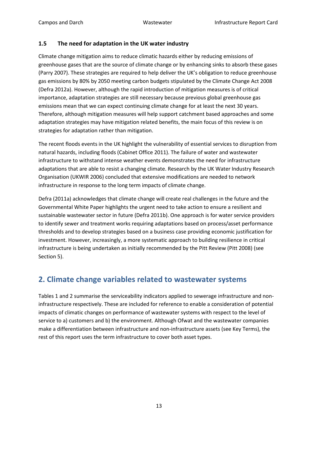### <span id="page-12-0"></span>**1.5 The need for adaptation in the UK water industry**

Climate change mitigation aims to reduce climatic hazards either by reducing emissions of greenhouse gases that are the source of climate change or by enhancing sinks to absorb these gases (Parry 2007). These strategies are required to help deliver the UK's obligation to reduce greenhouse gas emissions by 80% by 2050 meeting carbon budgets stipulated by the Climate Change Act 2008 (Defra 2012a). However, although the rapid introduction of mitigation measures is of critical importance, adaptation strategies are still necessary because previous global greenhouse gas emissions mean that we can expect continuing climate change for at least the next 30 years. Therefore, although mitigation measures will help support catchment based approaches and some adaptation strategies may have mitigation related benefits, the main focus of this review is on strategies for adaptation rather than mitigation.

The recent floods events in the UK highlight the vulnerability of essential services to disruption from natural hazards, including floods (Cabinet Office 2011). The failure of water and wastewater infrastructure to withstand intense weather events demonstrates the need for infrastructure adaptations that are able to resist a changing climate. Research by the UK Water Industry Research Organisation (UKWIR 2006) concluded that extensive modifications are needed to network infrastructure in response to the long term impacts of climate change.

Defra (2011a) acknowledges that climate change will create real challenges in the future and the Governmental White Paper highlights the urgent need to take action to ensure a resilient and sustainable wastewater sector in future (Defra 2011b). One approach is for water service providers to identify sewer and treatment works requiring adaptations based on process/asset performance thresholds and to develop strategies based on a business case providing economic justification for investment. However, increasingly, a more systematic approach to building resilience in critical infrastructure is being undertaken as initially recommended by the Pitt Review (Pitt 2008) (see Section 5).

# <span id="page-12-1"></span>**2. Climate change variables related to wastewater systems**

Tables 1 and 2 summarise the serviceability indicators applied to sewerage infrastructure and noninfrastructure respectively. These are included for reference to enable a consideration of potential impacts of climatic changes on performance of wastewater systems with respect to the level of service to a) customers and b) the environment. Although Ofwat and the wastewater companies make a differentiation between infrastructure and non-infrastructure assets (see Key Terms), the rest of this report uses the term infrastructure to cover both asset types.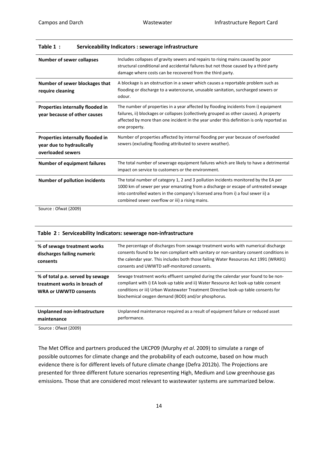| <b>Number of sewer collapses</b>                                                   | Includes collapses of gravity sewers and repairs to rising mains caused by poor<br>structural conditional and accidental failures but not those caused by a third party<br>damage where costs can be recovered from the third party.                                                                             |
|------------------------------------------------------------------------------------|------------------------------------------------------------------------------------------------------------------------------------------------------------------------------------------------------------------------------------------------------------------------------------------------------------------|
| Number of sewer blockages that<br>require cleaning                                 | A blockage is an obstruction in a sewer which causes a reportable problem such as<br>flooding or discharge to a watercourse, unusable sanitation, surcharged sewers or<br>odour.                                                                                                                                 |
| Properties internally flooded in<br>year because of other causes                   | The number of properties in a year affected by flooding incidents from i) equipment<br>failures, ii) blockages or collapses (collectively grouped as other causes). A property<br>affected by more than one incident in the year under this definition is only reported as<br>one property.                      |
| Properties internally flooded in<br>year due to hydraulically<br>overloaded sewers | Number of properties affected by internal flooding per year because of overloaded<br>sewers (excluding flooding attributed to severe weather).                                                                                                                                                                   |
| <b>Number of equipment failures</b>                                                | The total number of sewerage equipment failures which are likely to have a detrimental<br>impact on service to customers or the environment.                                                                                                                                                                     |
| <b>Number of pollution incidents</b><br>$0.6 + 120001$                             | The total number of category 1, 2 and 3 pollution incidents monitored by the EA per<br>1000 km of sewer per year emanating from a discharge or escape of untreated sewage<br>into controlled waters in the company's licensed area from i) a foul sewer ii) a<br>combined sewer overflow or iii) a rising mains. |

| Table 1 : | Serviceability Indicators : sewerage infrastructure |
|-----------|-----------------------------------------------------|
|-----------|-----------------------------------------------------|

Source : Ofwat (2009)

|  |  |  | Table 2: Serviceability Indicators: sewerage non-infrastructure |  |
|--|--|--|-----------------------------------------------------------------|--|
|--|--|--|-----------------------------------------------------------------|--|

| % of sewage treatment works<br>discharges failing numeric<br>consents                            | The percentage of discharges from sewage treatment works with numerical discharge<br>consents found to be non compliant with sanitary or non-sanitary consent conditions in<br>the calendar year. This includes both those failing Water Resources Act 1991 (WRA91)<br>consents and UWWTD self-monitored consents.   |
|--------------------------------------------------------------------------------------------------|----------------------------------------------------------------------------------------------------------------------------------------------------------------------------------------------------------------------------------------------------------------------------------------------------------------------|
| % of total p.e. served by sewage<br>treatment works in breach of<br><b>WRA or UWWTD consents</b> | Sewage treatment works effluent sampled during the calendar year found to be non-<br>compliant with i) EA look-up table and ii) Water Resource Act look-up table consent<br>conditions or iii) Urban Wastewater Treatment Directive look-up table consents for<br>biochemical oxygen demand (BOD) and/or phosphorus. |
| Unplanned non-infrastructure<br>maintenance                                                      | Unplanned maintenance required as a result of equipment failure or reduced asset<br>performance.                                                                                                                                                                                                                     |

Source : Ofwat (2009)

The Met Office and partners produced the UKCP09 (Murphy *et al*. 2009) to simulate a range of possible outcomes for climate change and the probability of each outcome, based on how much evidence there is for different levels of future climate change (Defra 2012b). The Projections are presented for three different future scenarios representing High, Medium and Low greenhouse gas emissions. Those that are considered most relevant to wastewater systems are summarized below.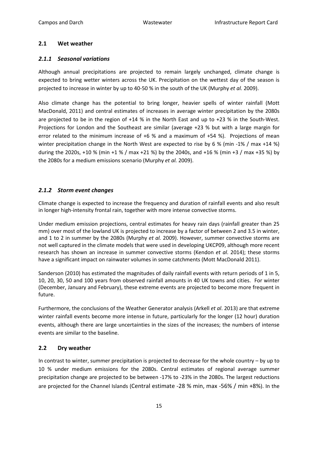### <span id="page-14-0"></span>**2.1 Wet weather**

### <span id="page-14-1"></span>*2.1.1 Seasonal variations*

Although annual precipitations are projected to remain largely unchanged, climate change is expected to bring wetter winters across the UK. Precipitation on the wettest day of the season is projected to increase in winter by up to 40-50 % in the south of the UK (Murphy *et al.* 2009).

Also climate change has the potential to bring longer, heavier spells of winter rainfall (Mott MacDonald, 2011) and central estimates of increases in average winter precipitation by the 2080s are projected to be in the region of +14 % in the North East and up to +23 % in the South-West. Projections for London and the Southeast are similar (average +23 % but with a large margin for error related to the minimum increase of +6 % and a maximum of +54 %). Projections of mean winter precipitation change in the North West are expected to rise by 6 % (min -1% / max +14 %) during the 2020s, +10 % (min +1 % / max +21 %) by the 2040s, and +16 % (min +3 / max +35 %) by the 2080s for a medium emissions scenario (Murphy *et al.* 2009).

### <span id="page-14-2"></span>*2.1.2 Storm event changes*

Climate change is expected to increase the frequency and duration of rainfall events and also result in longer high-intensity frontal rain, together with more intense convective storms.

Under medium emission projections, central estimates for heavy rain days (rainfall greater than 25 mm) over most of the lowland UK is projected to increase by a factor of between 2 and 3.5 in winter, and 1 to 2 in summer by the 2080s (Murphy *et al.* 2009). However, summer convective storms are not well captured in the climate models that were used in developing UKCP09, although more recent research has shown an increase in summer convective storms (Kendon *et al*. 2014); these storms have a significant impact on rainwater volumes in some catchments (Mott MacDonald 2011).

Sanderson (2010) has estimated the magnitudes of daily rainfall events with return periods of 1 in 5, 10, 20, 30, 50 and 100 years from observed rainfall amounts in 40 UK towns and cities. For winter (December, January and February), these extreme events are projected to become more frequent in future.

Furthermore, the conclusions of the Weather Generator analysis (Arkell *et al*. 2013) are that extreme winter rainfall events become more intense in future, particularly for the longer (12 hour) duration events, although there are large uncertainties in the sizes of the increases; the numbers of intense events are similar to the baseline.

### <span id="page-14-3"></span>**2.2 Dry weather**

In contrast to winter, summer precipitation is projected to decrease for the whole country – by up to 10 % under medium emissions for the 2080s. Central estimates of regional average summer precipitation change are projected to be between -17% to -23% in the 2080s. The largest reductions are projected for the Channel Islands (Central estimate -28 % min, max -56% / min +8%). In the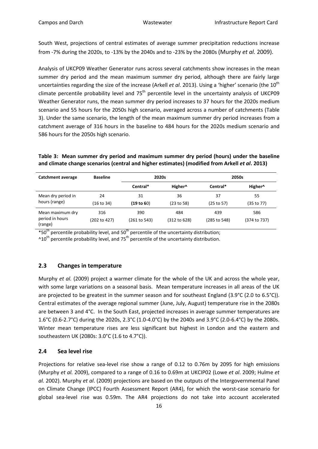South West, projections of central estimates of average summer precipitation reductions increase from -7% during the 2020s, to -13% by the 2040s and to -23% by the 2080s (Murphy *et al.* 2009).

Analysis of UKCP09 Weather Generator runs across several catchments show increases in the mean summer dry period and the mean maximum summer dry period, although there are fairly large uncertainties regarding the size of the increase (Arkell *et al.* 2013). Using a 'higher' scenario (the 10<sup>th</sup> climate percentile probability level and  $75<sup>th</sup>$  percentile level in the uncertainty analysis of UKCP09 Weather Generator runs, the mean summer dry period increases to 37 hours for the 2020s medium scenario and 55 hours for the 2050s high scenario, averaged across a number of catchments (Table 3). Under the same scenario, the length of the mean maximum summer dry period increases from a catchment average of 316 hours in the baseline to 484 hours for the 2020s medium scenario and 586 hours for the 2050s high scenario.

### **Table 3: Mean summer dry period and maximum summer dry period (hours) under the baseline and climate change scenarios (central and higher estimates) (modified from Arkell** *et al***. 2013)**

| Catchment average                              | <b>Baseline</b>     |                     | 2020s               |                     | 2050s               |
|------------------------------------------------|---------------------|---------------------|---------------------|---------------------|---------------------|
|                                                |                     | Central*            | Higher <sup>^</sup> | Central*            | Higher <sup>^</sup> |
| Mean dry period in<br>hours (range)            | 24<br>(16 to 34)    | 31<br>(19 to 60)    | 36<br>(23 to 58)    | 37<br>(25 to 57)    | 55<br>(35 to 77)    |
| Mean maximum dry<br>period in hours<br>(range) | 316<br>(202 to 427) | 390<br>(261 to 543) | 484<br>(312 to 628) | 439<br>(285 to 548) | 586<br>(374 to 737) |

 $*50<sup>th</sup>$  percentile probability level, and  $50<sup>th</sup>$  percentile of the uncertainty distribution;

 $^{\text{A}}10^{\text{th}}$  percentile probability level, and 75<sup>th</sup> percentile of the uncertainty distribution.

### <span id="page-15-0"></span>**2.3 Changes in temperature**

Murphy *et al.* (2009) project a warmer climate for the whole of the UK and across the whole year, with some large variations on a seasonal basis. Mean temperature increases in all areas of the UK are projected to be greatest in the summer season and for southeast England (3.9°C (2.0 to 6.5°C)). Central estimates of the average regional summer (June, July, August) temperature rise in the 2080s are between 3 and 4°C. In the South East, projected increases in average summer temperatures are 1.6°C (0.6-2.7°C) during the 2020s, 2.3°C (1.0-4.0°C) by the 2040s and 3.9°C (2.0-6.4°C) by the 2080s. Winter mean temperature rises are less significant but highest in London and the eastern and southeastern UK (2080s: 3.0°C (1.6 to 4.7°C)).

### <span id="page-15-1"></span>**2.4 Sea level rise**

Projections for relative sea-level rise show a range of 0.12 to 0.76m by 2095 for high emissions (Murphy *et al.* 2009), compared to a range of 0.16 to 0.69m at UKCIP02 (Lowe *et al*. 2009; Hulme *et al.* 2002). Murphy *et al*. (2009) projections are based on the outputs of the Intergovernmental Panel on Climate Change (IPCC) Fourth Assessment Report (AR4), for which the worst-case scenario for global sea-level rise was 0.59m. The AR4 projections do not take into account accelerated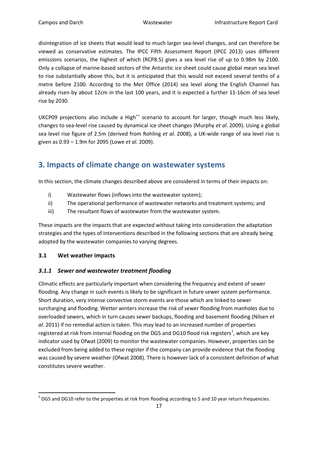disintegration of ice sheets that would lead to much larger sea-level changes, and can therefore be viewed as conservative estimates. The IPCC Fifth Assessment Report (IPCC 2013) uses different emissions scenarios, the highest of which (RCP8.5) gives a sea level rise of up to 0.98m by 2100. Only a collapse of marine-based sectors of the Antarctic ice sheet could cause global mean sea level to rise substantially above this, but it is anticipated that this would not exceed several tenths of a metre before 2100. According to the Met Office (2014) sea level along the English Channel has already risen by about 12cm in the last 100 years, and it is expected a further 11-16cm of sea level rise by 2030.

UKCP09 projections also include a High<sup>++</sup> scenario to account for larger, though much less likely, changes to sea-level rise caused by dynamical ice sheet changes (Murphy *et al*. 2009). Using a global sea level rise figure of 2.5m (derived from Rohling *et al.* 2008), a UK-wide range of sea level rise is given as 0.93 – 1.9m for 2095 (Lowe *et al.* 2009).

# <span id="page-16-0"></span>**3. Impacts of climate change on wastewater systems**

In this section, the climate changes described above are considered in terms of their impacts on:

- i) Wastewater flows (inflows into the wastewater system);
- ii) The operational performance of wastewater networks and treatment systems; and
- iii) The resultant flows of wastewater from the wastewater system.

These impacts are the impacts that are expected without taking into consideration the adaptation strategies and the types of interventions described in the following sections that are already being adopted by the wastewater companies to varying degrees.

### <span id="page-16-1"></span>**3.1 Wet weather impacts**

### <span id="page-16-2"></span>*3.1.1 Sewer and wastewater treatment flooding*

Climatic effects are particularly important when considering the frequency and extent of sewer flooding. Any change in such events is likely to be significant in future sewer system performance. Short duration, very intense convective storm events are those which are linked to sewer surcharging and flooding. Wetter winters increase the risk of sewer flooding from manholes due to overloaded sewers, which in turn causes sewer backups, flooding and basement flooding (Nilsen *et al.* 2011) if no remedial action is taken. This may lead to an increased number of properties registered at risk from internal flooding on the DG5 and DG10 flood risk registers<sup>[2](#page-10-2)</sup>, which are key indicator used by Ofwat (2009) to monitor the wastewater companies. However, properties can be excluded from being added to these register if the company can provide evidence that the flooding was caused by severe weather (Ofwat 2008). There is however lack of a consistent definition of what constitutes severe weather.

<span id="page-16-3"></span> $2$  DG5 and DG10 refer to the properties at risk from flooding according to 5 and 10 year return frequencies.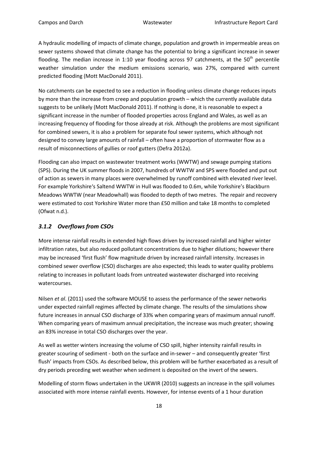A hydraulic modelling of impacts of climate change, population and growth in impermeable areas on sewer systems showed that climate change has the potential to bring a significant increase in sewer flooding. The median increase in 1:10 year flooding across 97 catchments, at the  $50<sup>th</sup>$  percentile weather simulation under the medium emissions scenario, was 27%, compared with current predicted flooding (Mott MacDonald 2011).

No catchments can be expected to see a reduction in flooding unless climate change reduces inputs by more than the increase from creep and population growth – which the currently available data suggests to be unlikely (Mott MacDonald 2011). If nothing is done, it is reasonable to expect a significant increase in the number of flooded properties across England and Wales, as well as an increasing frequency of flooding for those already at risk. Although the problems are most significant for combined sewers, it is also a problem for separate foul sewer systems, which although not designed to convey large amounts of rainfall – often have a proportion of stormwater flow as a result of misconnections of gullies or roof gutters (Defra 2012a).

Flooding can also impact on wastewater treatment works (WWTW) and sewage pumping stations (SPS). During the UK summer floods in 2007, hundreds of WWTW and SPS were flooded and put out of action as sewers in many places were overwhelmed by runoff combined with elevated river level. For example Yorkshire's Saltend WWTW in Hull was flooded to 0.6m, while Yorkshire's Blackburn Meadows WWTW (near Meadowhall) was flooded to depth of two metres. The repair and recovery were estimated to cost Yorkshire Water more than £50 million and take 18 months to completed (Ofwat n.d.).

### <span id="page-17-0"></span>*3.1.2 Overflows from CSOs*

More intense rainfall results in extended high flows driven by increased rainfall and higher winter infiltration rates, but also reduced pollutant concentrations due to higher dilutions; however there may be increased 'first flush' flow magnitude driven by increased rainfall intensity. Increases in combined sewer overflow (CSO) discharges are also expected; this leads to water quality problems relating to increases in pollutant loads from untreated wastewater discharged into receiving watercourses.

Nilsen *et al*. (2011) used the software MOUSE to assess the performance of the sewer networks under expected rainfall regimes affected by climate change. The results of the simulations show future increases in annual CSO discharge of 33% when comparing years of maximum annual runoff. When comparing years of maximum annual precipitation, the increase was much greater; showing an 83% increase in total CSO discharges over the year.

As well as wetter winters increasing the volume of CSO spill, higher intensity rainfall results in greater scouring of sediment - both on the surface and in-sewer – and consequently greater 'first flush' impacts from CSOs. As described below, this problem will be further exacerbated as a result of dry periods preceding wet weather when sediment is deposited on the invert of the sewers.

Modelling of storm flows undertaken in the UKWIR (2010) suggests an increase in the spill volumes associated with more intense rainfall events. However, for intense events of a 1 hour duration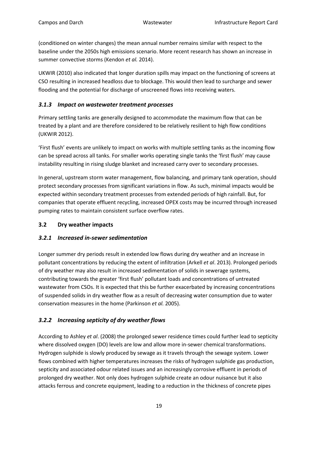(conditioned on winter changes) the mean annual number remains similar with respect to the baseline under the 2050s high emissions scenario. More recent research has shown an increase in summer convective storms (Kendon *et al.* 2014).

UKWIR (2010) also indicated that longer duration spills may impact on the functioning of screens at CSO resulting in increased headloss due to blockage. This would then lead to surcharge and sewer flooding and the potential for discharge of unscreened flows into receiving waters.

### <span id="page-18-0"></span>*3.1.3 Impact on wastewater treatment processes*

Primary settling tanks are generally designed to accommodate the maximum flow that can be treated by a plant and are therefore considered to be relatively resilient to high flow conditions (UKWIR 2012).

'First flush' events are unlikely to impact on works with multiple settling tanks as the incoming flow can be spread across all tanks. For smaller works operating single tanks the 'first flush' may cause instability resulting in rising sludge blanket and increased carry over to secondary processes.

In general, upstream storm water management, flow balancing, and primary tank operation, should protect secondary processes from significant variations in flow. As such, minimal impacts would be expected within secondary treatment processes from extended periods of high rainfall. But, for companies that operate effluent recycling, increased OPEX costs may be incurred through increased pumping rates to maintain consistent surface overflow rates.

### <span id="page-18-1"></span>**3.2 Dry weather impacts**

### *3.2.1 Increased in-sewer sedimentation*

Longer summer dry periods result in extended low flows during dry weather and an increase in pollutant concentrations by reducing the extent of infiltration (Arkell *et al*. 2013). Prolonged periods of dry weather may also result in increased sedimentation of solids in sewerage systems, contributing towards the greater 'first flush' pollutant loads and concentrations of untreated wastewater from CSOs. It is expected that this be further exacerbated by increasing concentrations of suspended solids in dry weather flow as a result of decreasing water consumption due to water conservation measures in the home (Parkinson *et al.* 2005).

### *3.2.2 Increasing septicity of dry weather flows*

According to Ashley *et al*. (2008) the prolonged sewer residence times could further lead to septicity where dissolved oxygen (DO) levels are low and allow more in-sewer chemical transformations. Hydrogen sulphide is slowly produced by sewage as it travels through the sewage system. Lower flows combined with higher temperatures increases the risks of hydrogen sulphide gas production, septicity and associated odour related issues and an increasingly corrosive effluent in periods of prolonged dry weather. Not only does hydrogen sulphide create an odour nuisance but it also attacks ferrous and concrete equipment, leading to a reduction in the thickness of concrete pipes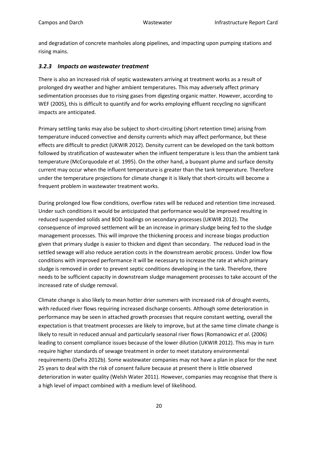and degradation of concrete manholes along pipelines, and impacting upon pumping stations and rising mains.

### <span id="page-19-0"></span>*3.2.3 Impacts on wastewater treatment*

There is also an increased risk of septic wastewaters arriving at treatment works as a result of prolonged dry weather and higher ambient temperatures. This may adversely affect primary sedimentation processes due to rising gases from digesting organic matter. However, according to WEF (2005), this is difficult to quantify and for works employing effluent recycling no significant impacts are anticipated.

Primary settling tanks may also be subject to short-circuiting (short retention time) arising from temperature induced convective and density currents which may affect performance, but these effects are difficult to predict (UKWIR 2012). Density current can be developed on the tank bottom followed by stratification of wastewater when the influent temperature is less than the ambient tank temperature (McCorquodale *et al*. 1995). On the other hand, a buoyant plume and surface density current may occur when the influent temperature is greater than the tank temperature. Therefore under the temperature projections for climate change it is likely that short-circuits will become a frequent problem in wastewater treatment works.

During prolonged low flow conditions, overflow rates will be reduced and retention time increased. Under such conditions it would be anticipated that performance would be improved resulting in reduced suspended solids and BOD loadings on secondary processes (UKWIR 2012). The consequence of improved settlement will be an increase in primary sludge being fed to the sludge management processes. This will improve the thickening process and increase biogas production given that primary sludge is easier to thicken and digest than secondary. The reduced load in the settled sewage will also reduce aeration costs in the downstream aerobic process. Under low flow conditions with improved performance it will be necessary to increase the rate at which primary sludge is removed in order to prevent septic conditions developing in the tank. Therefore, there needs to be sufficient capacity in downstream sludge management processes to take account of the increased rate of sludge removal.

Climate change is also likely to mean hotter drier summers with increased risk of drought events, with reduced river flows requiring increased discharge consents. Although some deterioration in performance may be seen in attached growth processes that require constant wetting, overall the expectation is that treatment processes are likely to improve, but at the same time climate change is likely to result in reduced annual and particularly seasonal river flows (Romanowicz *et al*. (2006) leading to consent compliance issues because of the lower dilution (UKWIR 2012). This may in turn require higher standards of sewage treatment in order to meet statutory environmental requirements (Defra 2012b). Some wastewater companies may not have a plan in place for the next 25 years to deal with the risk of consent failure because at present there is little observed deterioration in water quality (Welsh Water 2011). However, companies may recognise that there is a high level of impact combined with a medium level of likelihood.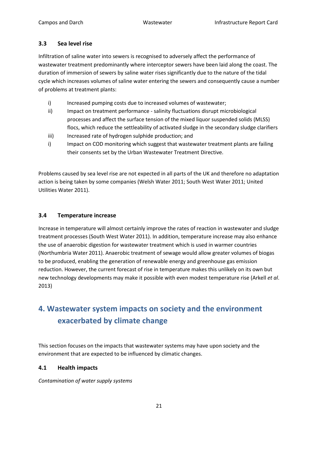### <span id="page-20-0"></span>**3.3 Sea level rise**

Infiltration of saline water into sewers is recognised to adversely affect the performance of wastewater treatment predominantly where interceptor sewers have been laid along the coast. The duration of immersion of sewers by saline water rises significantly due to the nature of the tidal cycle which increases volumes of saline water entering the sewers and consequently cause a number of problems at treatment plants:

- i) Increased pumping costs due to increased volumes of wastewater;
- ii) Impact on treatment performance salinity fluctuations disrupt microbiological processes and affect the surface tension of the mixed liquor suspended solids (MLSS) flocs, which reduce the settleability of activated sludge in the secondary sludge clarifiers
- iii) Increased rate of hydrogen sulphide production; and
- i) Impact on COD monitoring which suggest that wastewater treatment plants are failing their consents set by the Urban Wastewater Treatment Directive.

Problems caused by sea level rise are not expected in all parts of the UK and therefore no adaptation action is being taken by some companies (Welsh Water 2011; South West Water 2011; United Utilities Water 2011).

### <span id="page-20-1"></span>**3.4 Temperature increase**

Increase in temperature will almost certainly improve the rates of reaction in wastewater and sludge treatment processes (South West Water 2011). In addition, temperature increase may also enhance the use of anaerobic digestion for wastewater treatment which is used in warmer countries (Northumbria Water 2011). Anaerobic treatment of sewage would allow greater volumes of biogas to be produced, enabling the generation of renewable energy and greenhouse gas emission reduction. However, the current forecast of rise in temperature makes this unlikely on its own but new technology developments may make it possible with even modest temperature rise (Arkell *et al*. 2013)

# <span id="page-20-2"></span>**4. Wastewater system impacts on society and the environment exacerbated by climate change**

This section focuses on the impacts that wastewater systems may have upon society and the environment that are expected to be influenced by climatic changes.

### <span id="page-20-3"></span>**4.1 Health impacts**

*Contamination of water supply systems*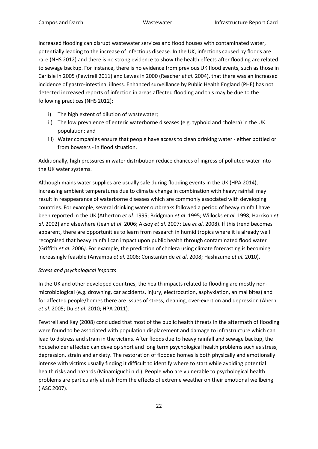Increased flooding can disrupt wastewater services and flood houses with contaminated water, potentially leading to the increase of infectious disease. In the UK, infections caused by floods are rare (NHS 2012) and there is no strong evidence to show the health effects after flooding are related to sewage backup. For instance, there is no evidence from previous UK flood events, such as those in Carlisle in 2005 (Fewtrell 2011) and Lewes in 2000 (Reacher *et al*. 2004), that there was an increased incidence of gastro-intestinal illness. Enhanced surveillance by Public Health England (PHE) has not detected increased reports of infection in areas affected flooding and this may be due to the following practices (NHS 2012):

- i) The high extent of dilution of wastewater;
- ii) The low prevalence of enteric waterborne diseases (e.g. typhoid and cholera) in the UK population; and
- iii) Water companies ensure that people have access to clean drinking water either bottled or from bowsers - in flood situation.

Additionally, high pressures in water distribution reduce chances of ingress of polluted water into the UK water systems.

Although mains water supplies are usually safe during flooding events in the UK (HPA 2014), increasing ambient temperatures due to climate change in combination with heavy rainfall may result in reappearance of waterborne diseases which are commonly associated with developing countries. For example, several drinking water outbreaks followed a period of heavy rainfall have been reported in the UK (Atherton *et al*. 1995; Bridgman *et al*. 1995; Willocks *et al*. 1998; Harrison *et al*. 2002) and elsewhere (Jean *et al*. 2006; Aksoy *et al*. 2007; Lee *et al*. 2008). If this trend becomes apparent, there are opportunities to learn from research in humid tropics where it is already well recognised that heavy rainfall can impact upon public health through contaminated flood water (Griffith *et al.* 2006*)*. For example, the prediction of cholera using climate forecasting is becoming increasingly feasible (Anyamba *et al.* 2006; Constantin de *et al*. 2008; Hashizume *et al.* 2010).

### *Stress and psychological impacts*

In the UK and other developed countries, the health impacts related to flooding are mostly nonmicrobiological (e.g. drowning, car accidents, injury, electrocution, asphyxiation, animal bites) and for affected people/homes there are issues of stress, cleaning, over-exertion and depression (Ahern *et al*. 2005; Du *et al*. 2010; HPA 2011).

Fewtrell and Kay (2008) concluded that most of the public health threats in the aftermath of flooding were found to be associated with population displacement and damage to infrastructure which can lead to distress and strain in the victims. After floods due to heavy rainfall and sewage backup, the householder affected can develop short and long term psychological health problems such as stress, depression, strain and anxiety. The restoration of flooded homes is both physically and emotionally intense with victims usually finding it difficult to identify where to start while avoiding potential health risks and hazards (Minamiguchi n.d.). People who are vulnerable to psychological health problems are particularly at risk from the effects of extreme weather on their emotional wellbeing (IASC 2007).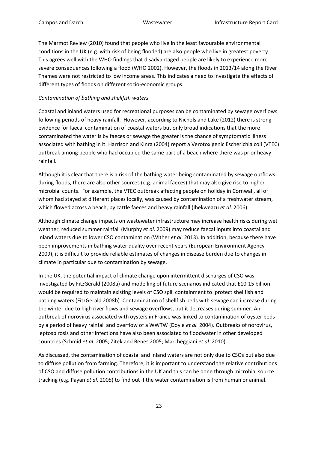The Marmot Review (2010) found that people who live in the least favourable environmental conditions in the UK (e.g. with risk of being flooded) are also people who live in greatest poverty. This agrees well with the WHO findings that disadvantaged people are likely to experience more severe consequences following a flood (WHO 2002). However, the floods in 2013/14 along the River Thames were not restricted to low income areas. This indicates a need to investigate the effects of different types of floods on different socio-economic groups.

### *Contamination of bathing and shellfish waters*

Coastal and inland waters used for recreational purposes can be contaminated by sewage overflows following periods of heavy rainfall. However, according to Nichols and Lake (2012) there is strong evidence for faecal contamination of coastal waters but only broad indications that the more contaminated the water is by faeces or sewage the greater is the chance of symptomatic illness associated with bathing in it. Harrison and Kinra (2004) report a Verotoxigenic Escherichia coli (VTEC) outbreak among people who had occupied the same part of a beach where there was prior heavy rainfall.

Although it is clear that there is a risk of the bathing water being contaminated by sewage outflows during floods, there are also other sources (e.g. animal faeces) that may also give rise to higher microbial counts. For example, the VTEC outbreak affecting people on holiday in Cornwall, all of whom had stayed at different places locally, was caused by contamination of a freshwater stream, which flowed across a beach, by cattle faeces and heavy rainfall (Ihekweazu *et al*. 2006).

Although climate change impacts on wastewater infrastructure may increase health risks during wet weather, reduced summer rainfall (Murphy *et al*. 2009) may reduce faecal inputs into coastal and inland waters due to lower CSO contamination (Wither *et al*. 2013). In addition, because there have been improvements in bathing water quality over recent years (European Environment Agency 2009), it is difficult to provide reliable estimates of changes in disease burden due to changes in climate in particular due to contamination by sewage.

In the UK, the potential impact of climate change upon intermittent discharges of CSO was investigated by FitzGerald (2008a) and modelling of future scenarios indicated that £10-15 billion would be required to maintain existing levels of CSO spill containment to protect shellfish and bathing waters (FitzGerald 2008b). Contamination of shellfish beds with sewage can increase during the winter due to high river flows and sewage overflows, but it decreases during summer. An outbreak of norovirus associated with oysters in France was linked to contamination of oyster beds by a period of heavy rainfall and overflow of a WWTW (Doyle *et al.* 2004). Outbreaks of norovirus, leptospirosis and other infections have also been associated to floodwater in other developed countries (Schmid *et al.* 2005; Zitek and Benes 2005; Marcheggiani *et al.* 2010).

As discussed, the contamination of coastal and inland waters are not only due to CSOs but also due to diffuse pollution from farming. Therefore, it is important to understand the relative contributions of CSO and diffuse pollution contributions in the UK and this can be done through microbial source tracking (e.g. Payan *et al.* 2005) to find out if the water contamination is from human or animal.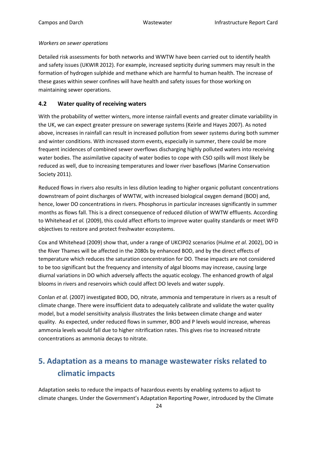### *Workers on sewer operations*

Detailed risk assessments for both networks and WWTW have been carried out to identify health and safety issues (UKWIR 2012). For example, increased septicity during summers may result in the formation of hydrogen sulphide and methane which are harmful to human health. The increase of these gases within sewer confines will have health and safety issues for those working on maintaining sewer operations.

### <span id="page-23-0"></span>**4.2 Water quality of receiving waters**

With the probability of wetter winters, more intense rainfall events and greater climate variability in the UK, we can expect greater pressure on sewerage systems (Keirle and Hayes 2007). As noted above, increases in rainfall can result in increased pollution from sewer systems during both summer and winter conditions. With increased storm events, especially in summer, there could be more frequent incidences of combined sewer overflows discharging highly polluted waters into receiving water bodies. The assimilative capacity of water bodies to cope with CSO spills will most likely be reduced as well, due to increasing temperatures and lower river baseflows (Marine Conservation Society 2011).

Reduced flows in rivers also results in less dilution leading to higher organic pollutant concentrations downstream of point discharges of WWTW, with increased biological oxygen demand (BOD) and, hence, lower DO concentrations in rivers. Phosphorus in particular increases significantly in summer months as flows fall. This is a direct consequence of reduced dilution of WWTW effluents. According to Whitehead *et al.* (2009), this could affect efforts to improve water quality standards or meet WFD objectives to restore and protect freshwater ecosystems.

Cox and Whitehead (2009) show that, under a range of UKCIP02 scenarios (Hulme *et al*. 2002), DO in the River Thames will be affected in the 2080s by enhanced BOD, and by the direct effects of temperature which reduces the saturation concentration for DO. These impacts are not considered to be too significant but the frequency and intensity of algal blooms may increase, causing large diurnal variations in DO which adversely affects the aquatic ecology. The enhanced growth of algal blooms in rivers and reservoirs which could affect DO levels and water supply.

Conlan *et al.* (2007) investigated BOD, DO, nitrate, ammonia and temperature in rivers as a result of climate change. There were insufficient data to adequately calibrate and validate the water quality model, but a model sensitivity analysis illustrates the links between climate change and water quality. As expected, under reduced flows in summer, BOD and P levels would increase, whereas ammonia levels would fall due to higher nitrification rates. This gives rise to increased nitrate concentrations as ammonia decays to nitrate.

# <span id="page-23-1"></span>**5. Adaptation as a means to manage wastewater risks related to climatic impacts**

Adaptation seeks to reduce the impacts of hazardous events by enabling systems to adjust to climate changes. Under the Government's Adaptation Reporting Power, introduced by the Climate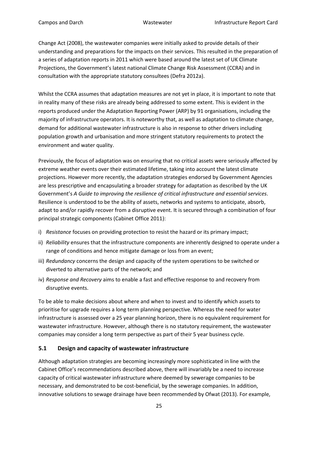Change Act (2008), the wastewater companies were initially asked to provide details of their understanding and preparations for the impacts on their services. This resulted in the preparation of a series of adaptation reports in 2011 which were based around the latest set of UK Climate Projections, the Government's latest national Climate Change Risk Assessment (CCRA) and in consultation with the appropriate statutory consultees (Defra 2012a).

Whilst the CCRA assumes that adaptation measures are not yet in place, it is important to note that in reality many of these risks are already being addressed to some extent. This is evident in the reports produced under the Adaptation Reporting Power (ARP) by 91 organisations, including the majority of infrastructure operators. It is noteworthy that, as well as adaptation to climate change, demand for additional wastewater infrastructure is also in response to other drivers including population growth and urbanisation and more stringent statutory requirements to protect the environment and water quality.

Previously, the focus of adaptation was on ensuring that no critical assets were seriously affected by extreme weather events over their estimated lifetime, taking into account the latest climate projections. However more recently, the adaptation strategies endorsed by Government Agencies are less prescriptive and encapsulating a broader strategy for adaptation as described by the UK Government's *A Guide to improving the resilience of critical infrastructure and essential services*. Resilience is understood to be the ability of assets, networks and systems to anticipate, absorb, adapt to and/or rapidly recover from a disruptive event. It is secured through a combination of four principal strategic components (Cabinet Office 2011):

- i) *Resistance* focuses on providing protection to resist the hazard or its primary impact;
- ii) *Reliability* ensures that the infrastructure components are inherently designed to operate under a range of conditions and hence mitigate damage or loss from an event;
- iii) *Redundancy* concerns the design and capacity of the system operations to be switched or diverted to alternative parts of the network; and
- iv) *Response and Recovery* aims to enable a fast and effective response to and recovery from disruptive events.

To be able to make decisions about where and when to invest and to identify which assets to prioritise for upgrade requires a long term planning perspective. Whereas the need for water infrastructure is assessed over a 25 year planning horizon, there is no equivalent requirement for wastewater infrastructure. However, although there is no statutory requirement, the wastewater companies may consider a long term perspective as part of their 5 year business cycle.

### <span id="page-24-0"></span>**5.1 Design and capacity of wastewater infrastructure**

Although adaptation strategies are becoming increasingly more sophisticated in line with the Cabinet Office's recommendations described above, there will invariably be a need to increase capacity of critical wastewater infrastructure where deemed by sewerage companies to be necessary, and demonstrated to be cost-beneficial, by the sewerage companies. In addition, innovative solutions to sewage drainage have been recommended by Ofwat (2013). For example,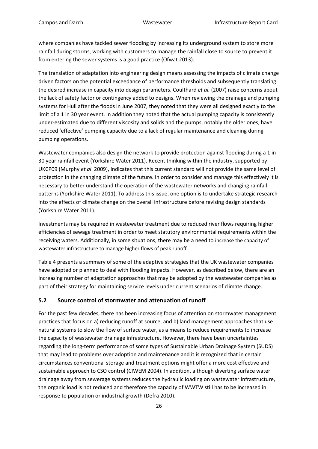where companies have tackled sewer flooding by increasing its underground system to store more rainfall during storms, working with customers to manage the rainfall close to source to prevent it from entering the sewer systems is a good practice (Ofwat 2013).

The translation of adaptation into engineering design means assessing the impacts of climate change driven factors on the potential exceedance of performance thresholds and subsequently translating the desired increase in capacity into design parameters. Coulthard *et al.* (2007) raise concerns about the lack of safety factor or contingency added to designs. When reviewing the drainage and pumping systems for Hull after the floods in June 2007, they noted that they were all designed exactly to the limit of a 1 in 30 year event. In addition they noted that the actual pumping capacity is consistently under-estimated due to different viscosity and solids and the pumps, notably the older ones, have reduced 'effective' pumping capacity due to a lack of regular maintenance and cleaning during pumping operations.

Wastewater companies also design the network to provide protection against flooding during a 1 in 30 year rainfall event (Yorkshire Water 2011). Recent thinking within the industry, supported by UKCP09 (Murphy *et al*. 2009), indicates that this current standard will not provide the same level of protection in the changing climate of the future. In order to consider and manage this effectively it is necessary to better understand the operation of the wastewater networks and changing rainfall patterns (Yorkshire Water 2011). To address this issue, one option is to undertake strategic research into the effects of climate change on the overall infrastructure before revising design standards (Yorkshire Water 2011).

Investments may be required in wastewater treatment due to reduced river flows requiring higher efficiencies of sewage treatment in order to meet statutory environmental requirements within the receiving waters. Additionally, in some situations, there may be a need to increase the capacity of wastewater infrastructure to manage higher flows of peak runoff.

Table 4 presents a summary of some of the adaptive strategies that the UK wastewater companies have adopted or planned to deal with flooding impacts. However, as described below, there are an increasing number of adaptation approaches that may be adopted by the wastewater companies as part of their strategy for maintaining service levels under current scenarios of climate change.

### <span id="page-25-0"></span>**5.2 Source control of stormwater and attenuation of runoff**

For the past few decades, there has been increasing focus of attention on stormwater management practices that focus on a) reducing runoff at source, and b) land management approaches that use natural systems to slow the flow of surface water, as a means to reduce requirements to increase the capacity of wastewater drainage infrastructure. However, there have been uncertainties regarding the long-term performance of some types of Sustainable Urban Drainage System (SUDS) that may lead to problems over adoption and maintenance and it is recognized that in certain circumstances conventional storage and treatment options might offer a more cost effective and sustainable approach to CSO control (CIWEM 2004). In addition, although diverting surface water drainage away from sewerage systems reduces the hydraulic loading on wastewater infrastructure, the organic load is not reduced and therefore the capacity of WWTW still has to be increased in response to population or industrial growth (Defra 2010).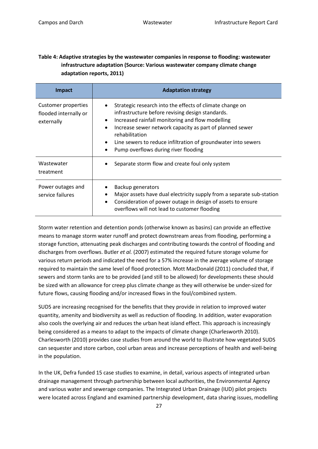### **Table 4: Adaptive strategies by the wastewater companies in response to flooding: wastewater infrastructure adaptation (Source: Various wastewater company climate change adaptation reports, 2011)**

| <b>Impact</b>                                                     | <b>Adaptation strategy</b>                                                                                                                                                                                                                                                                                                                                                                          |
|-------------------------------------------------------------------|-----------------------------------------------------------------------------------------------------------------------------------------------------------------------------------------------------------------------------------------------------------------------------------------------------------------------------------------------------------------------------------------------------|
| <b>Customer properties</b><br>flooded internally or<br>externally | Strategic research into the effects of climate change on<br>$\bullet$<br>infrastructure before revising design standards.<br>Increased rainfall monitoring and flow modelling<br>$\bullet$<br>Increase sewer network capacity as part of planned sewer<br>$\bullet$<br>rehabilitation<br>Line sewers to reduce infiltration of groundwater into sewers<br>Pump overflows during river flooding<br>٠ |
| Wastewater<br>treatment                                           | Separate storm flow and create foul only system                                                                                                                                                                                                                                                                                                                                                     |
| Power outages and<br>service failures                             | Backup generators<br>٠<br>Major assets have dual electricity supply from a separate sub-station<br>$\bullet$<br>Consideration of power outage in design of assets to ensure<br>٠<br>overflows will not lead to customer flooding                                                                                                                                                                    |

Storm water retention and detention ponds (otherwise known as basins) can provide an effective means to manage storm water runoff and protect downstream areas from flooding, performing a storage function, attenuating peak discharges and contributing towards the control of flooding and discharges from overflows. Butler *et al.* (2007) estimated the required future storage volume for various return periods and indicated the need for a 57% increase in the average volume of storage required to maintain the same level of flood protection. Mott MacDonald (2011) concluded that, if sewers and storm tanks are to be provided (and still to be allowed) for developments these should be sized with an allowance for creep plus climate change as they will otherwise be under-sized for future flows, causing flooding and/or increased flows in the foul/combined system.

SUDS are increasing recognised for the benefits that they provide in relation to improved water quantity, amenity and biodiversity as well as reduction of flooding. In addition, water evaporation also cools the overlying air and reduces the urban heat island effect. This approach is increasingly being considered as a means to adapt to the impacts of climate change (Charlesworth 2010). Charlesworth (2010) provides case studies from around the world to illustrate how vegetated SUDS can sequester and store carbon, cool urban areas and increase perceptions of health and well-being in the population.

In the UK, Defra funded 15 case studies to examine, in detail, various aspects of integrated urban drainage management through partnership between local authorities, the Environmental Agency and various water and sewerage companies. The Integrated Urban Drainage (IUD) pilot projects were located across England and examined partnership development, data sharing issues, modelling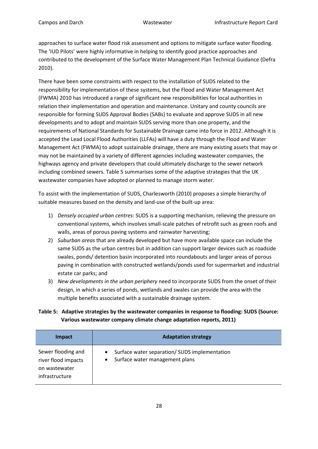approaches to surface water flood risk assessment and options to mitigate surface water flooding. The 'IUD Pilots' were highly informative in helping to identify good practice approaches and contributed to the development of the Surface Water Management Plan Technical Guidance (Defra 2010).

There have been some constraints with respect to the installation of SUDS related to the responsibility for implementation of these systems, but the Flood and Water Management Act (FWMA) 2010 has introduced a range of significant new responsibilities for local authorities in relation their implementation and operation and maintenance. Unitary and county councils are responsible for forming SUDS Approval Bodies (SABs) to evaluate and approve SUDS in all new developments and to adopt and maintain SUDS serving more than one property, and the requirements of National Standards for Sustainable Drainage came into force in 2012. Although it is accepted the Lead Local Flood Authorities (LLFAs) will have a duty through the Flood and Water Management Act (FWMA) to adopt sustainable drainage, there are many existing assets that may or may not be maintained by a variety of different agencies including wastewater companies, the highways agency and private developers that could ultimately discharge to the sewer network including combined sewers. Table 5 summarises some of the adaptive strategies that the UK wastewater companies have adopted or planned to manage storm water.

To assist with the implementation of SUDS, Charlesworth (2010) proposes a simple hierarchy of suitable measures based on the density and land-use of the built-up area:

- 1) *Densely occupied urban centres*: SUDS is a supporting mechanism, relieving the pressure on conventional systems, which involves small-scale patches of retrofit such as green roofs and walls, areas of porous paving systems and rainwater harvesting;
- 2) *Suburban areas* that are already developed but have more available space can include the same SUDS as the urban centres but in addition can support larger devices such as roadside swales, ponds/ detention basin incorporated into roundabouts and larger areas of porous paving in combination with constructed wetlands/ponds used for supermarket and industrial estate car parks; and
- 3) *New developments in the urban periphery* need to incorporate SUDS from the onset of their design, in which a series of ponds, wetlands and swales can provide the area with the multiple benefits associated with a sustainable drainage system.

### **Table 5: Adaptive strategies by the wastewater companies in response to flooding: SUDS (Source: Various wastewater company climate change adaptation reports, 2011)**

| <b>Impact</b>                                                                | <b>Adaptation strategy</b>                                                      |
|------------------------------------------------------------------------------|---------------------------------------------------------------------------------|
| Sewer flooding and<br>river flood impacts<br>on wastewater<br>infrastructure | Surface water separation/ SUDS implementation<br>Surface water management plans |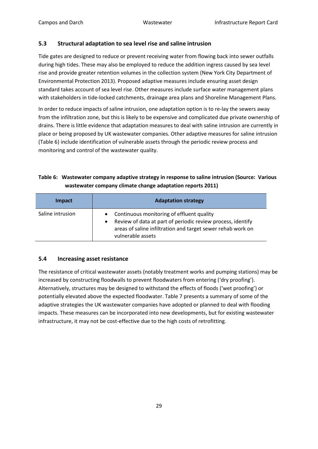### <span id="page-28-0"></span>**5.3 Structural adaptation to sea level rise and saline intrusion**

Tide gates are designed to reduce or prevent receiving water from flowing back into sewer outfalls during high tides. These may also be employed to reduce the addition ingress caused by sea level rise and provide greater retention volumes in the collection system (New York City Department of Environmental Protection 2013). Proposed adaptive measures include ensuring asset design standard takes account of sea level rise. Other measures include surface water management plans with stakeholders in tide-locked catchments, drainage area plans and Shoreline Management Plans.

In order to reduce impacts of saline intrusion, one adaptation option is to re-lay the sewers away from the infiltration zone, but this is likely to be expensive and complicated due private ownership of drains. There is little evidence that adaptation measures to deal with saline intrusion are currently in place or being proposed by UK wastewater companies. Other adaptive measures for saline intrusion (Table 6) include identification of vulnerable assets through the periodic review process and monitoring and control of the wastewater quality.

### **Table 6: Wastewater company adaptive strategy in response to saline intrusion (Source: Various wastewater company climate change adaptation reports 2011)**

| <b>Impact</b>    | <b>Adaptation strategy</b>                                                                                                                                                                                             |
|------------------|------------------------------------------------------------------------------------------------------------------------------------------------------------------------------------------------------------------------|
| Saline intrusion | Continuous monitoring of effluent quality<br>$\bullet$<br>Review of data at part of periodic review process, identify<br>$\bullet$<br>areas of saline infiltration and target sewer rehab work on<br>vulnerable assets |

### <span id="page-28-1"></span>**5.4 Increasing asset resistance**

The resistance of critical wastewater assets (notably treatment works and pumping stations) may be increased by constructing floodwalls to prevent floodwaters from entering ('dry proofing'). Alternatively, structures may be designed to withstand the effects of floods ('wet proofing') or potentially elevated above the expected floodwater. Table 7 presents a summary of some of the adaptive strategies the UK wastewater companies have adopted or planned to deal with flooding impacts. These measures can be incorporated into new developments, but for existing wastewater infrastructure, it may not be cost-effective due to the high costs of retrofitting.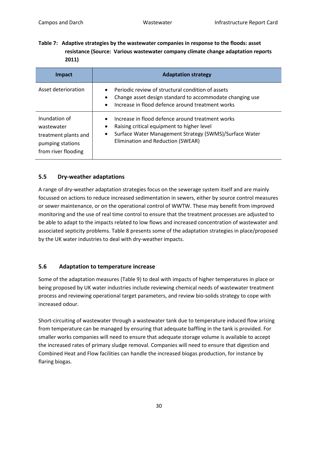**Table 7: Adaptive strategies by the wastewater companies in response to the floods: asset resistance (Source: Various wastewater company climate change adaptation reports 2011)**

| Impact                                                                                         | <b>Adaptation strategy</b>                                                                                                                                                                                                   |  |
|------------------------------------------------------------------------------------------------|------------------------------------------------------------------------------------------------------------------------------------------------------------------------------------------------------------------------------|--|
| Asset deterioration                                                                            | Periodic review of structural condition of assets<br>$\bullet$<br>Change asset design standard to accommodate changing use<br>٠<br>Increase in flood defence around treatment works<br>$\bullet$                             |  |
| Inundation of<br>wastewater<br>treatment plants and<br>pumping stations<br>from river flooding | Increase in flood defence around treatment works<br>$\bullet$<br>Raising critical equipment to higher level<br>٠<br>Surface Water Management Strategy (SWMS)/Surface Water<br>$\bullet$<br>Elimination and Reduction (SWEAR) |  |

### <span id="page-29-0"></span>**5.5 Dry-weather adaptations**

A range of dry-weather adaptation strategies focus on the sewerage system itself and are mainly focussed on actions to reduce increased sedimentation in sewers, either by source control measures or sewer maintenance, or on the operational control of WWTW. These may benefit from improved monitoring and the use of real time control to ensure that the treatment processes are adjusted to be able to adapt to the impacts related to low flows and increased concentration of wastewater and associated septicity problems. Table 8 presents some of the adaptation strategies in place/proposed by the UK water industries to deal with dry-weather impacts.

### <span id="page-29-1"></span>**5.6 Adaptation to temperature increase**

Some of the adaptation measures (Table 9) to deal with impacts of higher temperatures in place or being proposed by UK water industries include reviewing chemical needs of wastewater treatment process and reviewing operational target parameters, and review bio-solids strategy to cope with increased odour.

Short-circuiting of wastewater through a wastewater tank due to temperature induced flow arising from temperature can be managed by ensuring that adequate baffling in the tank is provided. For smaller works companies will need to ensure that adequate storage volume is available to accept the increased rates of primary sludge removal. Companies will need to ensure that digestion and Combined Heat and Flow facilities can handle the increased biogas production, for instance by flaring biogas.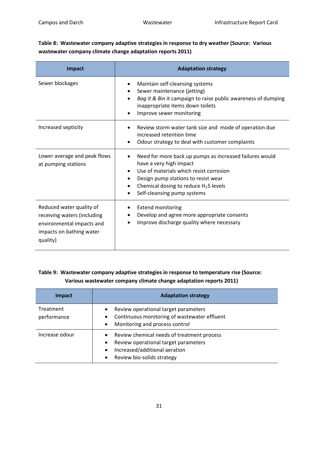**Table 8: Wastewater company adaptive strategies in response to dry weather (Source: Various wastewater company climate change adaptation reports 2011)**

| <b>Impact</b>                                                                                                                | <b>Adaptation strategy</b>                                                                                                                                                                                                                                                                                      |
|------------------------------------------------------------------------------------------------------------------------------|-----------------------------------------------------------------------------------------------------------------------------------------------------------------------------------------------------------------------------------------------------------------------------------------------------------------|
| Sewer blockages                                                                                                              | Maintain self-cleansing systems<br>٠<br>Sewer maintenance (jetting)<br>$\bullet$<br>Bag it & Bin it campaign to raise public awareness of dumping<br>$\bullet$<br>inappropriate items down toilets<br>Improve sewer monitoring<br>$\bullet$                                                                     |
| Increased septicity                                                                                                          | Review storm water tank size and mode of operation due<br>increased retention time<br>Odour strategy to deal with customer complaints                                                                                                                                                                           |
| Lower average and peak flows<br>at pumping stations                                                                          | Need for more back up pumps as increased failures would<br>$\bullet$<br>have a very high impact<br>Use of materials which resist corrosion<br>$\bullet$<br>Design pump stations to resist wear<br>$\bullet$<br>Chemical dosing to reduce $H_2S$ levels<br>$\bullet$<br>Self-cleansing pump systems<br>$\bullet$ |
| Reduced water quality of<br>receiving waters (including<br>environmental impacts and<br>impacts on bathing water<br>quality) | <b>Extend monitoring</b><br>Develop and agree more appropriate consents<br>Improve discharge quality where necessary                                                                                                                                                                                            |

### **Table 9: Wastewater company adaptive strategies in response to temperature rise (Source: Various wastewater company climate change adaptation reports 2011)**

| Impact                          | <b>Adaptation strategy</b>                                                                                                                                                                            |
|---------------------------------|-------------------------------------------------------------------------------------------------------------------------------------------------------------------------------------------------------|
| <b>Treatment</b><br>performance | Review operational target parameters<br>$\bullet$<br>Continuous monitoring of wastewater effluent<br>$\bullet$<br>Monitoring and process control<br>$\bullet$                                         |
| Increase odour                  | Review chemical needs of treatment process<br>$\bullet$<br>Review operational target parameters<br>$\bullet$<br>Increased/additional aeration<br>$\bullet$<br>Review bio-solids strategy<br>$\bullet$ |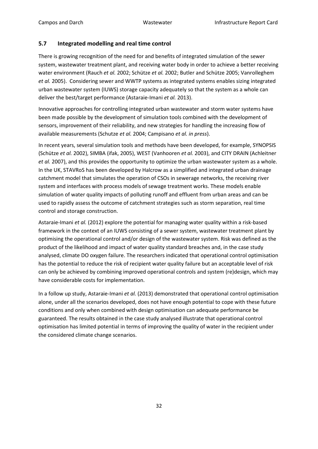### <span id="page-31-0"></span>**5.7 Integrated modelling and real time control**

There is growing recognition of the need for and benefits of integrated simulation of the sewer system, wastewater treatment plant, and receiving water body in order to achieve a better receiving water environment (Rauch *et al.* 2002; Schütze *et al.* 2002; Butler and Schütze 2005; Vanrolleghem *et al.* 2005). Considering sewer and WWTP systems as integrated systems enables sizing integrated urban wastewater system (IUWS) storage capacity adequately so that the system as a whole can deliver the best/target performance (Astaraie-Imani *et al.* 2013).

Innovative approaches for controlling integrated urban wastewater and storm water systems have been made possible by the development of simulation tools combined with the development of sensors, improvement of their reliability, and new strategies for handling the increasing flow of available measurements (Schutze *et al.* 2004; Campisano *et al. in press*).

In recent years, several simulation tools and methods have been developed, for example, SYNOPSIS (Schütze *et al.* 2002), SIMBA (ifak, 2005), WEST (Vanhooren *et al.* 2003), and CITY DRAIN (Achleitner *et al.* 2007), and this provides the opportunity to optimize the urban wastewater system as a whole. In the UK, STAVRoS has been developed by Halcrow as a simplified and integrated urban drainage catchment model that simulates the operation of CSOs in sewerage networks, the receiving river system and interfaces with process models of sewage treatment works. These models enable simulation of water quality impacts of polluting runoff and effluent from urban areas and can be used to rapidly assess the outcome of catchment strategies such as storm separation, real time control and storage construction.

Astaraie-Imani *et al.* (2012) explore the potential for managing water quality within a risk-based framework in the context of an IUWS consisting of a sewer system, wastewater treatment plant by optimising the operational control and/or design of the wastewater system. Risk was defined as the product of the likelihood and impact of water quality standard breaches and, in the case study analysed, climate DO oxygen failure. The researchers indicated that operational control optimisation has the potential to reduce the risk of recipient water quality failure but an acceptable level of risk can only be achieved by combining improved operational controls and system (re)design, which may have considerable costs for implementation.

In a follow up study, Astaraie-Imani *et al.* (2013) demonstrated that operational control optimisation alone, under all the scenarios developed, does not have enough potential to cope with these future conditions and only when combined with design optimisation can adequate performance be guaranteed. The results obtained in the case study analysed illustrate that operational control optimisation has limited potential in terms of improving the quality of water in the recipient under the considered climate change scenarios.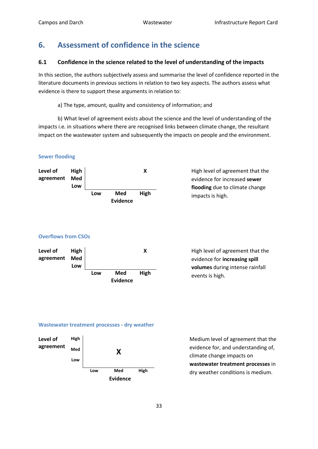# <span id="page-32-0"></span>**6. Assessment of confidence in the science**

### <span id="page-32-1"></span>**6.1 Confidence in the science related to the level of understanding of the impacts**

In this section, the authors subjectively assess and summarise the level of confidence reported in the literature documents in previous sections in relation to two key aspects. The authors assess what evidence is there to support these arguments in relation to:

a) The type, amount, quality and consistency of information; and

b) What level of agreement exists about the science and the level of understanding of the impacts i.e*.* in situations where there are recognised links between climate change, the resultant impact on the wastewater system and subsequently the impacts on people and the environment.

### **Sewer flooding**



evidence for increased **sewer flooding** due to climate change impacts is high.

### **Overflows from CSOs**



evidence for **increasing spill volumes** during intense rainfall events is high.

### **Wastewater treatment processes - dry weather**



evidence for, and understanding of, climate change impacts on **wastewater treatment processes** in dry weather conditions is medium.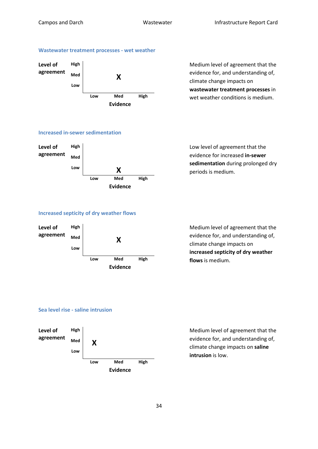### **Wastewater treatment processes - wet weather**



evidence for, and understanding of, climate change impacts on **wastewater treatment processes** in wet weather conditions is medium.

### **Increased in-sewer sedimentation**



evidence for increased **in-sewer sedimentation** during prolonged dry periods is medium.

### **Increased septicity of dry weather flows**



evidence for, and understanding of, climate change impacts on **increased septicity of dry weather flows** is medium.

### **Sea level rise - saline intrusion**



evidence for, and understanding of, climate change impacts on **saline intrusion** is low.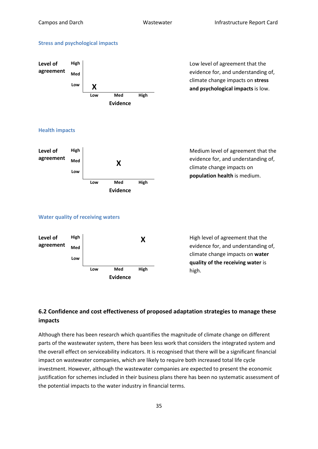### **Stress and psychological impacts**



evidence for, and understanding of, climate change impacts on **stress and psychological impacts** is low.

### **Health impacts**



evidence for, and understanding of, climate change impacts on **population health** is medium.

### **Water quality of receiving waters**



evidence for, and understanding of, climate change impacts on **water quality of the receiving water** is high.

## <span id="page-34-0"></span>**6.2 Confidence and cost effectiveness of proposed adaptation strategies to manage these impacts**

Although there has been research which quantifies the magnitude of climate change on different parts of the wastewater system, there has been less work that considers the integrated system and the overall effect on serviceability indicators. It is recognised that there will be a significant financial impact on wastewater companies, which are likely to require both increased total life cycle investment. However, although the wastewater companies are expected to present the economic justification for schemes included in their business plans there has been no systematic assessment of the potential impacts to the water industry in financial terms.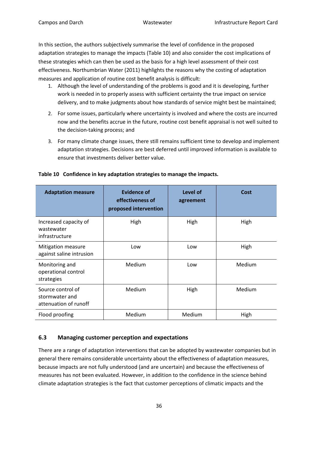In this section, the authors subjectively summarise the level of confidence in the proposed adaptation strategies to manage the impacts (Table 10) and also consider the cost implications of these strategies which can then be used as the basis for a high level assessment of their cost effectiveness. Northumbrian Water (2011) highlights the reasons why the costing of adaptation measures and application of routine cost benefit analysis is difficult:

- 1. Although the level of understanding of the problems is good and it is developing, further work is needed in to properly assess with sufficient certainty the true impact on service delivery, and to make judgments about how standards of service might best be maintained;
- 2. For some issues, particularly where uncertainty is involved and where the costs are incurred now and the benefits accrue in the future, routine cost benefit appraisal is not well suited to the decision-taking process; and
- 3. For many climate change issues, there still remains sufficient time to develop and implement adaptation strategies. Decisions are best deferred until improved information is available to ensure that investments deliver better value.

| <b>Adaptation measure</b>                                    | <b>Evidence of</b><br>effectiveness of<br>proposed intervention | Level of<br>agreement | Cost   |
|--------------------------------------------------------------|-----------------------------------------------------------------|-----------------------|--------|
| Increased capacity of<br>wastewater<br>infrastructure        | High                                                            | High                  | High   |
| <b>Mitigation measure</b><br>against saline intrusion        | Low                                                             | Low                   | High   |
| Monitoring and<br>operational control<br>strategies          | Medium                                                          | Low                   | Medium |
| Source control of<br>stormwater and<br>attenuation of runoff | Medium                                                          | High                  | Medium |
| Flood proofing                                               | Medium                                                          | Medium                | High   |

### **Table 10 Confidence in key adaptation strategies to manage the impacts.**

### <span id="page-35-0"></span>**6.3 Managing customer perception and expectations**

There are a range of adaptation interventions that can be adopted by wastewater companies but in general there remains considerable uncertainty about the effectiveness of adaptation measures, because impacts are not fully understood (and are uncertain) and because the effectiveness of measures has not been evaluated. However, in addition to the confidence in the science behind climate adaptation strategies is the fact that customer perceptions of climatic impacts and the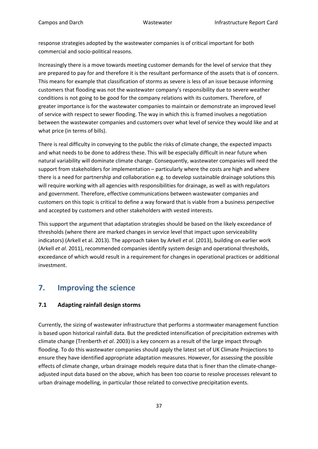response strategies adopted by the wastewater companies is of critical important for both commercial and socio-political reasons.

Increasingly there is a move towards meeting customer demands for the level of service that they are prepared to pay for and therefore it is the resultant performance of the assets that is of concern. This means for example that classification of storms as severe is less of an issue because informing customers that flooding was not the wastewater company's responsibility due to severe weather conditions is not going to be good for the company relations with its customers. Therefore, of greater importance is for the wastewater companies to maintain or demonstrate an improved level of service with respect to sewer flooding. The way in which this is framed involves a negotiation between the wastewater companies and customers over what level of service they would like and at what price (in terms of bills).

There is real difficulty in conveying to the public the risks of climate change, the expected impacts and what needs to be done to address these. This will be especially difficult in near future when natural variability will dominate climate change. Consequently, wastewater companies will need the support from stakeholders for implementation – particularly where the costs are high and where there is a need for partnership and collaboration e.g. to develop sustainable drainage solutions this will require working with all agencies with responsibilities for drainage, as well as with regulators and government. Therefore, effective communications between wastewater companies and customers on this topic is critical to define a way forward that is viable from a business perspective and accepted by customers and other stakeholders with vested interests.

This support the argument that adaptation strategies should be based on the likely exceedance of thresholds (where there are marked changes in service level that impact upon serviceability indicators) (Arkell et al. 2013). The approach taken by Arkell *et al*. (2013), building on earlier work (Arkell *et al*. 2011), recommended companies identify system design and operational thresholds, exceedance of which would result in a requirement for changes in operational practices or additional investment.

# <span id="page-36-0"></span>**7. Improving the science**

### <span id="page-36-1"></span>**7.1 Adapting rainfall design storms**

Currently, the sizing of wastewater infrastructure that performs a stormwater management function is based upon historical rainfall data. But the predicted intensification of precipitation extremes with climate change (Trenberth *et al*. 2003) is a key concern as a result of the large impact through flooding. To do this wastewater companies should apply the latest set of UK Climate Projections to ensure they have identified appropriate adaptation measures. However, for assessing the possible effects of climate change, urban drainage models require data that is finer than the climate-changeadjusted input data based on the above, which has been too coarse to resolve processes relevant to urban drainage modelling, in particular those related to convective precipitation events.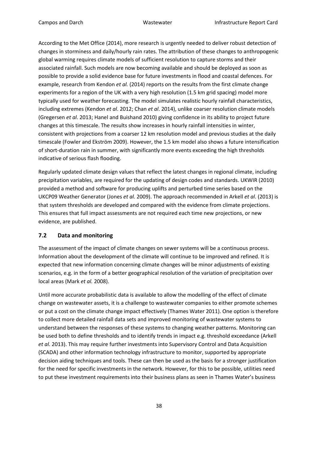According to the Met Office (2014), more research is urgently needed to deliver robust detection of changes in storminess and daily/hourly rain rates. The attribution of these changes to anthropogenic global warming requires climate models of sufficient resolution to capture storms and their associated rainfall. Such models are now becoming available and should be deployed as soon as possible to provide a solid evidence base for future investments in flood and coastal defences. For example, research from Kendon *et al.* (2014) reports on the results from the first climate change experiments for a region of the UK with a very high resolution (1.5 km grid spacing) model more typically used for weather forecasting. The model simulates realistic hourly rainfall characteristics, including extremes (Kendon *et al*. 2012; Chan *et al*. 2014), unlike coarser resolution climate models (Gregersen *et al*. 2013; Hanel and Buishand 2010) giving confidence in its ability to project future changes at this timescale. The results show increases in hourly rainfall intensities in winter, consistent with projections from a coarser 12 km resolution model and previous studies at the daily timescale (Fowler and Ekström 2009). However, the 1.5 km model also shows a future intensification of short-duration rain in summer, with significantly more events exceeding the high thresholds indicative of serious flash flooding.

Regularly updated climate design values that reflect the latest changes in regional climate, including precipitation variables, are required for the updating of design codes and standards. UKWIR (2010) provided a method and software for producing uplifts and perturbed time series based on the UKCP09 Weather Generator (Jones *et al.* 2009). The approach recommended in Arkell *et al*. (2013) is that system thresholds are developed and compared with the evidence from climate projections. This ensures that full impact assessments are not required each time new projections, or new evidence, are published.

### <span id="page-37-0"></span>**7.2 Data and monitoring**

The assessment of the impact of climate changes on sewer systems will be a continuous process. Information about the development of the climate will continue to be improved and refined. It is expected that new information concerning climate changes will be minor adjustments of existing scenarios, e.g. in the form of a better geographical resolution of the variation of precipitation over local areas (Mark *et al.* 2008).

Until more accurate probabilistic data is available to allow the modelling of the effect of climate change on wastewater assets, it is a challenge to wastewater companies to either promote schemes or put a cost on the climate change impact effectively (Thames Water 2011). One option is therefore to collect more detailed rainfall data sets and improved monitoring of wastewater systems to understand between the responses of these systems to changing weather patterns. Monitoring can be used both to define thresholds and to identify trends in impact e.g. threshold exceedance (Arkell *et al.* 2013). This may require further investments into Supervisory Control and Data Acquisition (SCADA) and other information technology infrastructure to monitor, supported by appropriate decision aiding techniques and tools. These can then be used as the basis for a stronger justification for the need for specific investments in the network. However, for this to be possible, utilities need to put these investment requirements into their business plans as seen in Thames Water's business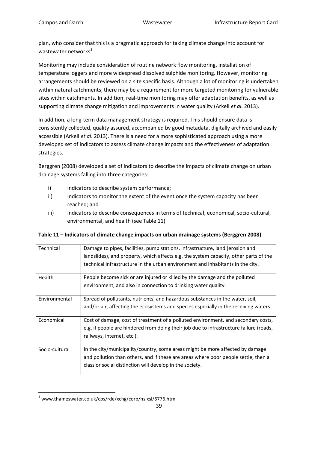plan, who consider that this is a pragmatic approach for taking climate change into account for wastewater networks<sup>[3](#page-16-3)</sup>.

Monitoring may include consideration of routine network flow monitoring, installation of temperature loggers and more widespread dissolved sulphide monitoring. However, monitoring arrangements should be reviewed on a site specific basis. Although a lot of monitoring is undertaken within natural catchments, there may be a requirement for more targeted monitoring for vulnerable sites within catchments. In addition, real-time monitoring may offer adaptation benefits, as well as supporting climate change mitigation and improvements in water quality (Arkell *et al*. 2013).

In addition, a long-term data management strategy is required. This should ensure data is consistently collected, quality assured, accompanied by good metadata, digitally archived and easily accessible (Arkell *et al*. 2013). There is a need for a more sophisticated approach using a more developed set of indicators to assess climate change impacts and the effectiveness of adaptation strategies.

Berggren (2008) developed a set of indicators to describe the impacts of climate change on urban drainage systems falling into three categories:

- i) Indicators to describe system performance;
- ii) Indicators to monitor the extent of the event once the system capacity has been reached; and
- iii) Indicators to describe consequences in terms of technical, economical, socio-cultural, environmental, and health (see Table 11).

| Technical      | Damage to pipes, facilities, pump stations, infrastructure, land (erosion and          |
|----------------|----------------------------------------------------------------------------------------|
|                | landslides), and property, which affects e.g. the system capacity, other parts of the  |
|                | technical infrastructure in the urban environment and inhabitants in the city.         |
| Health         | People become sick or are injured or killed by the damage and the polluted             |
|                | environment, and also in connection to drinking water quality.                         |
| Environmental  | Spread of pollutants, nutrients, and hazardous substances in the water, soil,          |
|                | and/or air, affecting the ecosystems and species especially in the receiving waters.   |
| Economical     | Cost of damage, cost of treatment of a polluted environment, and secondary costs,      |
|                | e.g. if people are hindered from doing their job due to infrastructure failure (roads, |
|                | railways, internet, etc.).                                                             |
| Socio-cultural | In the city/municipality/country, some areas might be more affected by damage          |
|                | and pollution than others, and if these are areas where poor people settle, then a     |
|                | class or social distinction will develop in the society.                               |

**Table 11 – Indicators of climate change impacts on urban drainage systems (Berggren 2008)**

 <sup>3</sup> www.thameswater.co.uk/cps/rde/xchg/corp/hs.xsl/6776.htm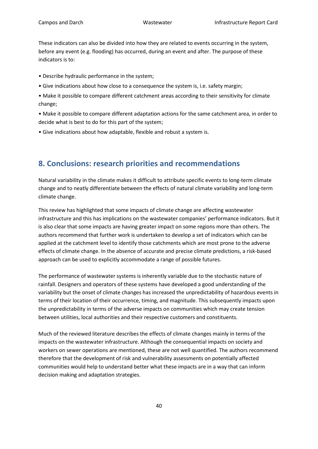These indicators can also be divided into how they are related to events occurring in the system, before any event (e.g. flooding) has occurred, during an event and after. The purpose of these indicators is to:

- Describe hydraulic performance in the system;
- Give indications about how close to a consequence the system is, i.e. safety margin;
- Make it possible to compare different catchment areas according to their sensitivity for climate change;

• Make it possible to compare different adaptation actions for the same catchment area, in order to decide what is best to do for this part of the system;

• Give indications about how adaptable, flexible and robust a system is.

# <span id="page-39-0"></span>**8. Conclusions: research priorities and recommendations**

Natural variability in the climate makes it difficult to attribute specific events to long-term climate change and to neatly differentiate between the effects of natural climate variability and long-term climate change.

This review has highlighted that some impacts of climate change are affecting wastewater infrastructure and this has implications on the wastewater companies' performance indicators. But it is also clear that some impacts are having greater impact on some regions more than others. The authors recommend that further work is undertaken to develop a set of indicators which can be applied at the catchment level to identify those catchments which are most prone to the adverse effects of climate change. In the absence of accurate and precise climate predictions, a risk-based approach can be used to explicitly accommodate a range of possible futures.

The performance of wastewater systems is inherently variable due to the stochastic nature of rainfall. Designers and operators of these systems have developed a good understanding of the variability but the onset of climate changes has increased the unpredictability of hazardous events in terms of their location of their occurrence, timing, and magnitude. This subsequently impacts upon the unpredictability in terms of the adverse impacts on communities which may create tension between utilities, local authorities and their respective customers and constituents.

Much of the reviewed literature describes the effects of climate changes mainly in terms of the impacts on the wastewater infrastructure. Although the consequential impacts on society and workers on sewer operations are mentioned, these are not well quantified. The authors recommend therefore that the development of risk and vulnerability assessments on potentially affected communities would help to understand better what these impacts are in a way that can inform decision making and adaptation strategies.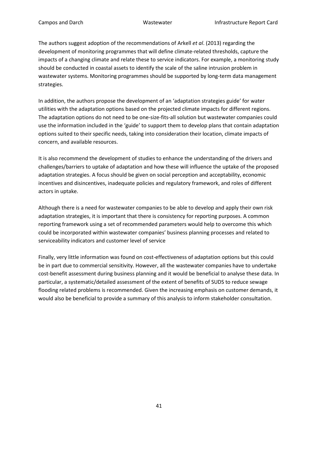The authors suggest adoption of the recommendations of Arkell *et al*. (2013) regarding the development of monitoring programmes that will define climate-related thresholds, capture the impacts of a changing climate and relate these to service indicators. For example, a monitoring study should be conducted in coastal assets to identify the scale of the saline intrusion problem in wastewater systems. Monitoring programmes should be supported by long-term data management strategies.

In addition, the authors propose the development of an 'adaptation strategies guide' for water utilities with the adaptation options based on the projected climate impacts for different regions. The adaptation options do not need to be one-size-fits-all solution but wastewater companies could use the information included in the 'guide' to support them to develop plans that contain adaptation options suited to their specific needs, taking into consideration their location, climate impacts of concern, and available resources.

It is also recommend the development of studies to enhance the understanding of the drivers and challenges/barriers to uptake of adaptation and how these will influence the uptake of the proposed adaptation strategies. A focus should be given on social perception and acceptability, economic incentives and disincentives, inadequate policies and regulatory framework, and roles of different actors in uptake.

Although there is a need for wastewater companies to be able to develop and apply their own risk adaptation strategies, it is important that there is consistency for reporting purposes. A common reporting framework using a set of recommended parameters would help to overcome this which could be incorporated within wastewater companies' business planning processes and related to serviceability indicators and customer level of service

Finally, very little information was found on cost-effectiveness of adaptation options but this could be in part due to commercial sensitivity. However, all the wastewater companies have to undertake cost-benefit assessment during business planning and it would be beneficial to analyse these data. In particular, a systematic/detailed assessment of the extent of benefits of SUDS to reduce sewage flooding related problems is recommended. Given the increasing emphasis on customer demands, it would also be beneficial to provide a summary of this analysis to inform stakeholder consultation.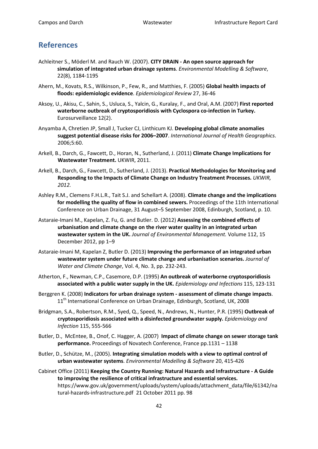# <span id="page-41-0"></span>**References**

- Achleitner S., Möderl M. and Rauch W. (2007). **CITY DRAIN - An open source approach for simulation of integrated urban drainage systems**. *Environmental Modelling & Software*, 22(8), 1184-1195
- Ahern, M., Kovats, R.S., Wilkinson, P., Few, R., and Matthies, F. (2005) **Global health impacts of floods: epidemiologic evidence**. *Epidemiological Review* 27, 36-46
- Aksoy, U., Akisu, C., Sahin, S., Usluca, S., Yalcin, G., Kuralay, F., and Oral, A.M. (2007) **First reported waterborne outbreak of cryptosporidiosis with Cyclospora co-infection in Turkey.** Eurosurveillance 12(2).
- Anyamba A, Chretien JP, Small J, Tucker CJ, Linthicum KJ. **Developing global climate anomalies suggest potential disease risks for 2006–2007**. *International Journal of Health Geographics*. 2006;5:60.
- Arkell, B., Darch, G., Fawcett, D., Horan, N., Sutherland, J. (2011) **Climate Change Implications for Wastewater Treatment.** UKWIR, 2011.
- Arkell, B., Darch, G., Fawcett, D., Sutherland, J. (2013). **Practical Methodologies for Monitoring and Responding to the Impacts of Climate Change on Industry Treatment Processes.** *UKWIR, 2012.*
- Ashley R.M., Clemens F.H.L.R., Tait S.J. and Schellart A. (2008). **Climate change and the implications for modelling the quality of flow in combined sewers.** Proceedings of the 11th International Conference on Urban Drainage, 31 August–5 September 2008, Edinburgh, Scotland, p. 10.
- Astaraie-Imani M., Kapelan, Z. Fu, G. and Butler. D. (2012) **Assessing the combined effects of urbanisation and climate change on the river water quality in an integrated urban wastewater system in the UK.** *Journal of Environmental Management.* Volume 112, 15 December 2012, pp 1–9
- Astaraie-Imani M, Kapelan Z, Butler D. (2013) **Improving the performance of an integrated urban wastewater system under future climate change and urbanisation scenarios.** *Journal of Water and Climate Change*, Vol. 4, No. 3, pp. 232-243.
- Atherton, F., Newman, C.P., Casemore, D.P. (1995) **An outbreak of waterborne cryptosporidiosis associated with a public water supply in the UK.** *Epidemiology and Infections* 115, 123-131
- Berggren K. (2008) **Indicators for urban drainage system - assessment of climate change impacts**. 11<sup>th</sup> International Conference on Urban Drainage, Edinburgh, Scotland, UK, 2008
- Bridgman, S.A., Robertson, R.M., Syed, Q., Speed, N., Andrews, N., Hunter, P.R. (1995) **Outbreak of cryptosporidiosis associated with a disinfected groundwater supply.** *Epidemiology and Infection* 115, 555-566
- Butler, D., McEntee, B., Onof, C. Hagger, A. (2007) **Impact of climate change on sewer storage tank performance.** Proceedings of Novatech Conference, France pp.1131 – 1138
- Butler, D., Schütze, M., (2005). **Integrating simulation models with a view to optimal control of urban wastewater systems**. *Environmental Modelling & Software* 20, 415-426
- Cabinet Office (2011) **Keeping the Country Running: Natural Hazards and Infrastructure - A Guide to improving the resilience of critical infrastructure and essential services.**  https://www.gov.uk/government/uploads/system/uploads/attachment\_data/file/61342/na tural-hazards-infrastructure.pdf 21 October 2011 pp. 98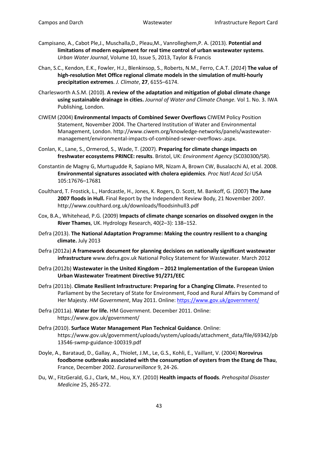- Campisano, A., Cabot Ple,J., Muschalla,D., Pleau,M., Vanrolleghem,P. A. (2013). **Potential and limitations of modern equipment for real time control of urban wastewater systems**. *Urban Water Journal*, Volume 10, Issue 5, 2013, Taylor & Francis
- Chan, S.C., Kendon, E.K., Fowler, H.J., Blenkinsop, S., Roberts, N.M., Ferro, C.A.T. (*2014*) **The value of high-resolution Met Office regional climate models in the simulation of multi-hourly precipitation extremes**. *J. Climate*, **27**, 6155–6174.
- Charlesworth A.S.M. (2010). **A review of the adaptation and mitigation of global climate change using sustainable drainage in cities.** *Journal of Water and Climate Change.* Vol 1. No. 3. IWA Publishing, London.
- CIWEM (2004) **Environmental Impacts of Combined Sewer Overflows** CIWEM Policy Position Statement, November 2004. The Chartered Institution of Water and Environmental Management, London. http://www.ciwem.org/knowledge-networks/panels/wastewatermanagement/environmental-impacts-of-combined-sewer-overflows-.aspx.
- Conlan, K., Lane, S., Ormerod, S., Wade, T. (2007). **Preparing for climate change impacts on freshwater ecosystems PRINCE: results**. Bristol, UK: *Environment Agency* (SC030300/SR).
- Constantin de Magny G, Murtugudde R, Sapiano MR, Nizam A, Brown CW, Busalacchi AJ, et al. 2008. **Environmental signatures associated with cholera epidemics***. Proc Natl Acad Sci* USA 105:17676–17681
- Coulthard, T. Frostick, L., Hardcastle, H., Jones, K. Rogers, D. Scott, M. Bankoff, G. (2007) **The June 2007 floods in Hull.** Final Report by the Independent Review Body, 21 November 2007. http://www.coulthard.org.uk/downloads/floodsinhull3.pdf
- Cox, B.A., Whitehead, P.G. (2009) **Impacts of climate change scenarios on dissolved oxygen in the River Thames**, UK. Hydrology Research, 40(2–3): 138–152.
- Defra (2013). **The National Adaptation Programme: Making the country resilient to a changing climate.** July 2013
- Defra (2012a) **A framework document for planning decisions on nationally significant wastewater infrastructure** www.defra.gov.uk National Policy Statement for Wastewater. March 2012
- Defra (2012b) **Wastewater in the United Kingdom – 2012 Implementation of the European Union Urban Wastewater Treatment Directive 91/271/EEC**
- Defra (2011b). **Climate Resilient Infrastructure: Preparing for a Changing Climate.** Presented to Parliament by the Secretary of State for Environment, Food and Rural Affairs by Command of Her Majesty. *HM Government*, May 2011. Online[: https://www.gov.uk/government/](https://www.gov.uk/government/)
- Defra (2011a). **Water for life.** HM Government. December 2011. Online: https://www.gov.uk/government/
- Defra (2010). **Surface Water Management Plan Technical Guidance**. Online: https://www.gov.uk/government/uploads/system/uploads/attachment\_data/file/69342/pb 13546-swmp-guidance-100319.pdf
- Doyle, A., Barataud, D., Gallay, A., Thiolet, J.M., Le, G.S., Kohli, E., Vaillant, V. (2004) **Norovirus foodborne outbreaks associated with the consumption of oysters from the Etang de Thau**, France, December 2002. *Eurosurveillance* 9, 24-26.
- Du, W., FitzGerald, G.J., Clark, M., Hou, X.Y. (2010) **Health impacts of floods**. *Prehospital Disaster Medicine* 25, 265-272.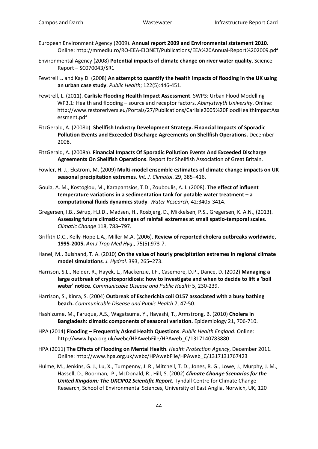- European Environment Agency (2009). **Annual report 2009 and Environmental statement 2010.**  Online: http://mmediu.ro/RO-EEA-EIONET/Publications/EEA%20Annual-Report%202009.pdf
- Environmental Agency (2008) **Potential impacts of climate change on river water quality**. Science Report – SC070043/SR1
- Fewtrell L. and Kay D. (2008) **An attempt to quantify the health impacts of flooding in the UK using an urban case study**. *Public Health*; 122(5):446-451.
- Fewtrell, L. (2011). **Carlisle Flooding Health Impact Assessment**. SWP3: Urban Flood Modelling WP3.1: Health and flooding – source and receptor factors. *Aberystwyth University*. Online: http://www.restorerivers.eu/Portals/27/Publications/Carlisle2005%20FloodHealthImpactAss essment.pdf
- FitzGerald, A. (2008b). **Shellfish Industry Development Strategy. Financial Impacts of Sporadic Pollution Events and Exceeded Discharge Agreements on Shellfish Operations.** December 2008.
- FitzGerald, A. (2008a). **Financial Impacts Of Sporadic Pollution Events And Exceeded Discharge Agreements On Shellfish Operations**. Report for Shellfish Association of Great Britain.
- Fowler, H. J., Ekström, M. (2009) **Multi-model ensemble estimates of climate change impacts on UK seasonal precipitation extremes**. *Int. J. Climatol*. 29, 385–416.
- Goula, A. M., Kostoglou, M., Karapantsios, T.D., Zouboulis, A. I. (2008). **The effect of influent temperature variations in a sedimentation tank for potable water treatment – a computational fluids dynamics study**. *Water Research*, 42:3405-3414.
- Gregersen, I.B., Sørup, H.J.D., Madsen, H., Rosbjerg, D., Mikkelsen, P.S., Gregersen, K. A.N., (2013). **Assessing future climatic changes of rainfall extremes at small spatio-temporal scales**. *Climatic Change* 118, 783–797.
- Griffith D.C., Kelly-Hope L.A., Miller M.A. (2006). **Review of reported cholera outbreaks worldwide, 1995-2005.** *Am J Trop Med Hyg*., 75(5):973-7.
- Hanel, M., Buishand, T. A. (2010) **On the value of hourly precipitation extremes in regional climate model simulations**. *J. Hydrol*. 393, 265–273.
- Harrison, S.L., Nelder, R., Hayek, L., Mackenzie, I.F., Casemore, D.P., Dance, D. (2002) **Managing a large outbreak of cryptosporidiosis: how to investigate and when to decide to lift a 'boil water' notice.** *Communicable Disease and Public Health* 5, 230-239.
- Harrison, S., Kinra, S. (2004) **Outbreak of Escherichia coli O157 associated with a busy bathing beach.** *Communicable Disease and Public Health* 7, 47-50.
- Hashizume, M., Faruque, A.S., Wagatsuma, Y., Hayashi, T., Armstrong, B. (2010) **Cholera in Bangladesh: climatic components of seasonal variation.** Epidemiology 21, 706-710.
- HPA (2014) **Flooding – Frequently Asked Health Questions**. *Public Health England*. Online: http://www.hpa.org.uk/webc/HPAwebFile/HPAweb\_C/1317140783880
- HPA (2011) **The Effects of Flooding on Mental Health**. *Health Protection Agency*, December 2011. Online: http://www.hpa.org.uk/webc/HPAwebFile/HPAweb\_C/1317131767423
- Hulme, M., Jenkins, G. J., Lu, X., Turnpenny, J. R., Mitchell, T. D., Jones, R. G., Lowe, J., Murphy, J. M., Hassell, D., Boorman, P., McDonald, R., Hill, S. (2002) *Climate Change Scenarios for the United Kingdom: The UKCIP02 Scientific Report.* Tyndall Centre for Climate Change Research, School of Environmental Sciences, University of East Anglia, Norwich, UK, 120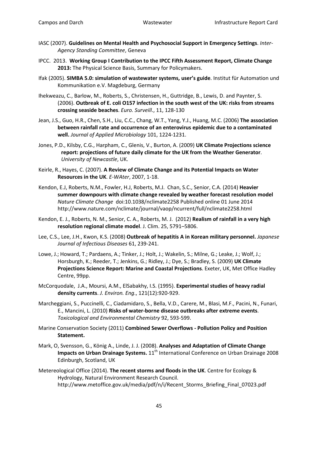- IASC (2007). **Guidelines on Mental Health and Psychosocial Support in Emergency Settings**. *Inter-Agency Standing Committee*, Geneva
- IPCC. 2013. **Working Group I Contribution to the IPCC Fifth Assessment Report, Climate Change 2013:** The Physical Science Basis, Summary for Policymakers.
- Ifak (2005). **SIMBA 5.0: simulation of wastewater systems, user's guide**. Institut für Automation und Kommunikation e.V. Magdeburg, Germany
- Ihekweazu, C., Barlow, M., Roberts, S., Christensen, H., Guttridge, B., Lewis, D. and Paynter, S. (2006). **Outbreak of E. coli O157 infection in the south west of the UK: risks from streams crossing seaside beaches**. *Euro. Surveill*., 11, 128-130
- Jean, J.S., Guo, H.R., Chen, S.H., Liu, C.C., Chang, W.T., Yang, Y.J., Huang, M.C. (2006) **The association between rainfall rate and occurrence of an enterovirus epidemic due to a contaminated well.** *Journal of Applied Microbiology* 101, 1224-1231.
- Jones, P.D., Kilsby, C.G., Harpham, C., Glenis, V., Burton, A. (2009) **UK Climate Projections science report: projections of future daily climate for the UK from the Weather Generator**. *University of Newcastle*, UK.
- Keirle, R., Hayes, C. (2007). **A Review of Climate Change and its Potential Impacts on Water Resources in the UK**. *E-WAter*, 2007, 1-18.
- Kendon, E.J, Roberts, N.M., Fowler, H.J, Roberts, M.J. Chan, S.C., Senior, C.A. (2014) **Heavier summer downpours with climate change revealed by weather forecast resolution model** *Nature Climate Change* doi:10.1038/nclimate2258 Published online 01 June 2014 http://www.nature.com/nclimate/journal/vaop/ncurrent/full/nclimate2258.html
- Kendon, E. J., Roberts, N. M., Senior, C. A., Roberts, M. J. (2012) **Realism of rainfall in a very high resolution regional climate model**. J. Clim. 25, 5791–5806.
- Lee, C.S., Lee, J.H., Kwon, K.S. (2008) **Outbreak of hepatitis A in Korean military personnel.** *Japanese Journal of Infectious Diseases* 61, 239-241.
- Lowe, J.; Howard, T.; Pardaens, A.; Tinker, J.; Holt, J.; Wakelin, S.; Milne, G.; Leake, J.; Wolf, J.; Horsburgh, K.; Reeder, T.; Jenkins, G.; Ridley, J.; Dye, S.; Bradley, S. (2009) **UK Climate Projections Science Report: Marine and Coastal Projections**. Exeter, UK, Met Office Hadley Centre, 99pp.
- McCorquodale, J.A., Moursi, A.M., ElSabakhy, I.S. (1995). **Experimental studies of heavy radial density currents**. *J. Environ. Eng*., 121(12):920-929.
- Marcheggiani, S., Puccinelli, C., Ciadamidaro, S., Bella, V.D., Carere, M., Blasi, M.F., Pacini, N., Funari, E., Mancini, L. (2010) **Risks of water-borne disease outbreaks after extreme events**. *Toxicological and Environmental Chemistry* 92, 593-599.
- Marine Conservation Society (2011) **Combined Sewer Overflows - Pollution Policy and Position Statement.**
- Mark, O, Svensson, G., König A., Linde, J. J. (2008). **Analyses and Adaptation of Climate Change Impacts on Urban Drainage Systems.** 11<sup>th</sup> International Conference on Urban Drainage 2008 Edinburgh, Scotland, UK
- Metereological Office (2014). **The recent storms and floods in the UK**. Centre for Ecology & Hydrology, Natural Environment Research Council. http://www.metoffice.gov.uk/media/pdf/n/i/Recent\_Storms\_Briefing\_Final\_07023.pdf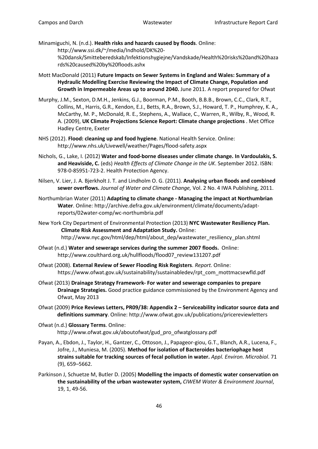- Minamiguchi, N. (n.d.). **Health risks and hazards caused by floods**. Online: http://www.ssi.dk/~/media/Indhold/DK%20- %20dansk/Smitteberedskab/Infektionshygiejne/Vandskade/Health%20risks%20and%20haza rds%20caused%20by%20floods.ashx
- Mott MacDonald (2011) **Future Impacts on Sewer Systems in England and Wales: Summary of a Hydraulic Modelling Exercise Reviewing the Impact of Climate Change, Population and Growth in Impermeable Areas up to around 2040.** June 2011. A report prepared for Ofwat
- Murphy, J.M., Sexton, D.M.H., Jenkins, G.J., Boorman, P.M., Booth, B.B.B., Brown, C.C., Clark, R.T., Collins, M., Harris, G.R., Kendon, E.J., Betts, R.A., Brown, S.J., Howard, T. P., Humphrey, K. A., McCarthy, M. P., McDonald, R. E., Stephens, A., Wallace, C., Warren, R., Wilby, R., Wood, R. A. (2009), **UK Climate Projections Science Report: Climate change projections** . Met Office Hadley Centre, Exeter
- NHS (2012). **Flood: cleaning up and food hygiene**. National Health Service. Online: http://www.nhs.uk/Livewell/weather/Pages/flood-safety.aspx
- Nichols, G., Lake, I. (2012) **Water and food-borne diseases under climate change. In Vardoulakis, S. and Heaviside, C.** (eds) *Health Effects of Climate Change in the UK*. September 2012. ISBN: 978-0-85951-723-2. Health Protection Agency.
- Nilsen, V. Lier, J. A. Bjerkholt J. T. and Lindholm O. G. (2011). **Analysing urban floods and combined sewer overflows.** *Journal of Water and Climate Change,* Vol. 2 No. 4 IWA Publishing, 2011.
- Northumbrian Water (2011) **Adapting to climate change - Managing the impact at Northumbrian Water**. Online: http://archive.defra.gov.uk/environment/climate/documents/adaptreports/02water-comp/wc-northumbria.pdf
- New York City Department of Environmental Protection (2013) **NYC Wastewater Resiliency Plan. Climate Risk Assessment and Adaptation Study.** Online: http://www.nyc.gov/html/dep/html/about\_dep/wastewater\_resiliency\_plan.shtml
- Ofwat (n.d.) **Water and sewerage services during the summer 2007 floods.** Online: http://www.coulthard.org.uk/hullfloods/flood07\_review131207.pdf
- Ofwat (2008). **External Review of Sewer Flooding Risk Registers**. *Report.* Online: https://www.ofwat.gov.uk/sustainability/sustainabledev/rpt\_com\_mottmacsewfld.pdf
- Ofwat (2013) **Drainage Strategy Framework- For water and sewerage companies to prepare Drainage Strategies.** Good practice guidance commissioned by the Environment Agency and Ofwat, May 2013
- Ofwat (2009) **Price Reviews Letters, PR09/38: Appendix 2 – Serviceability indicator source data and definitions summary**. Online: http://www.ofwat.gov.uk/publications/pricereviewletters
- Ofwat (n.d.) **Glossary Terms**. Online: http://www.ofwat.gov.uk/aboutofwat/gud\_pro\_ofwatglossary.pdf
- Payan, A., Ebdon, J., Taylor, H., Gantzer, C., Ottoson, J., Papageor-giou, G.T., Blanch, A.R., Lucena, F., Jofre, J., Muniesa, M. (2005). **Method for isolation of Bacteroides bacteriophage host strains suitable for tracking sources of fecal pollution in water.** *Appl. Environ. Microbiol*. 71 (9), 659–5662.
- Parkinson J, Schuetze M, Butler D. (2005) **Modelling the impacts of domestic water conservation on the sustainability of the urban wastewater system,** *CIWEM Water & Environment Journal*, 19, 1, 49-56.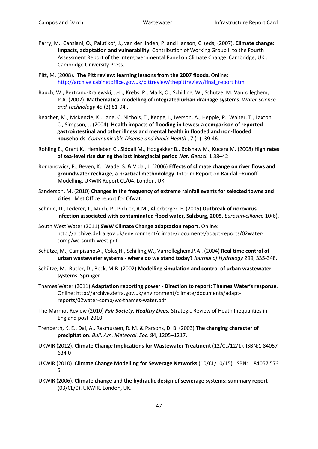- Parry, M., Canziani, O., Palutikof, J., van der linden, P. and Hanson, C. (eds) (2007). **Climate change: Impacts, adaptation and vulnerability.** Contribution of Working Group II to the Fourth Assessment Report of the Intergovernmental Panel on Climate Change. Cambridge, UK : Cambridge University Press.
- Pitt, M. (2008). **The Pitt review: learning lessons from the 2007 floods.** Online: [http://archive.cabinetoffice.gov.uk/pittreview/thepittreview/final\\_report.html](http://archive.cabinetoffice.gov.uk/pittreview/thepittreview/final_report.html)
- Rauch, W., Bertrand-Krajewski, J.-L., Krebs, P., Mark, O., Schilling, W., Schütze, M.,Vanrolleghem, P.A. (2002). **Mathematical modelling of integrated urban drainage systems**. *Water Science and Technology* 45 (3) 81-94 .
- Reacher, M., McKenzie, K., Lane, C. Nichols, T., Kedge, I., Iverson, A., Hepple, P., Walter, T., Laxton, C., Simpson, J..(2004). **Health impacts of flooding in Lewes: a comparison of reported gastrointestinal and other illness and mental health in flooded and non-flooded households**. *Communicable Disease and Public Health* , 7 (1): 39-46.
- Rohling E., Grant K., Hemleben C., Siddall M., Hoogakker B., Bolshaw M., Kucera M. (2008) **High rates of sea-level rise during the last interglacial period** *Nat. Geosci.* 1 38–42
- Romanowicz, R., Beven, K. , Wade, S. & Vidal, J. (2006) **Effects of climate change on river flows and groundwater recharge, a practical methodology**. Interim Report on Rainfall–Runoff Modelling, UKWIR Report CL/04, London, UK.
- Sanderson, M. (2010) **Changes in the frequency of extreme rainfall events for selected towns and cities**. Met Office report for Ofwat.
- Schmid, D., Lederer, I., Much, P., Pichler, A.M., Allerberger, F. (2005) **Outbreak of norovirus infection associated with contaminated flood water, Salzburg, 2005**. *Eurosurveillanc*e 10(6).
- South West Water (2011) **SWW Climate Change adaptation report.** Online: http://archive.defra.gov.uk/environment/climate/documents/adapt-reports/02watercomp/wc-south-west.pdf
- Schütze, M., Campisano,A., Colas,H., Schilling,W., Vanrolleghem,P.A . (2004) **Real time control of urban wastewater systems - where do we stand today?** *Journal of Hydrology* 299, 335-348.
- Schütze, M., Butler, D., Beck, M.B. (2002) **Modelling simulation and control of urban wastewater systems**, Springer
- Thames Water (2011) **Adaptation reporting power - Direction to report: Thames Water's response**. Online: http://archive.defra.gov.uk/environment/climate/documents/adaptreports/02water-comp/wc-thames-water.pdf
- The Marmot Review (2010) *Fair Society, Healthy Lives***.** Strategic Review of Heath Inequalities in England post-2010.
- Trenberth, K. E., Dai, A., Rasmussen, R. M. & Parsons, D. B. (2003) **The changing character of precipitation**. *Bull. Am. Meteorol. Soc.* 84, 1205–1217.
- UKWIR (2012). **Climate Change Implications for Wastewater Treatment** (12/CL/12/1). ISBN:1 84057 634 0
- UKWIR (2010). **Climate Change Modelling for Sewerage Networks** (10/CL/10/15). ISBN: 1 84057 573 5
- UKWIR (2006). **Climate change and the hydraulic design of sewerage systems: summary report** (03/CL/0). UKWIR, London, UK.